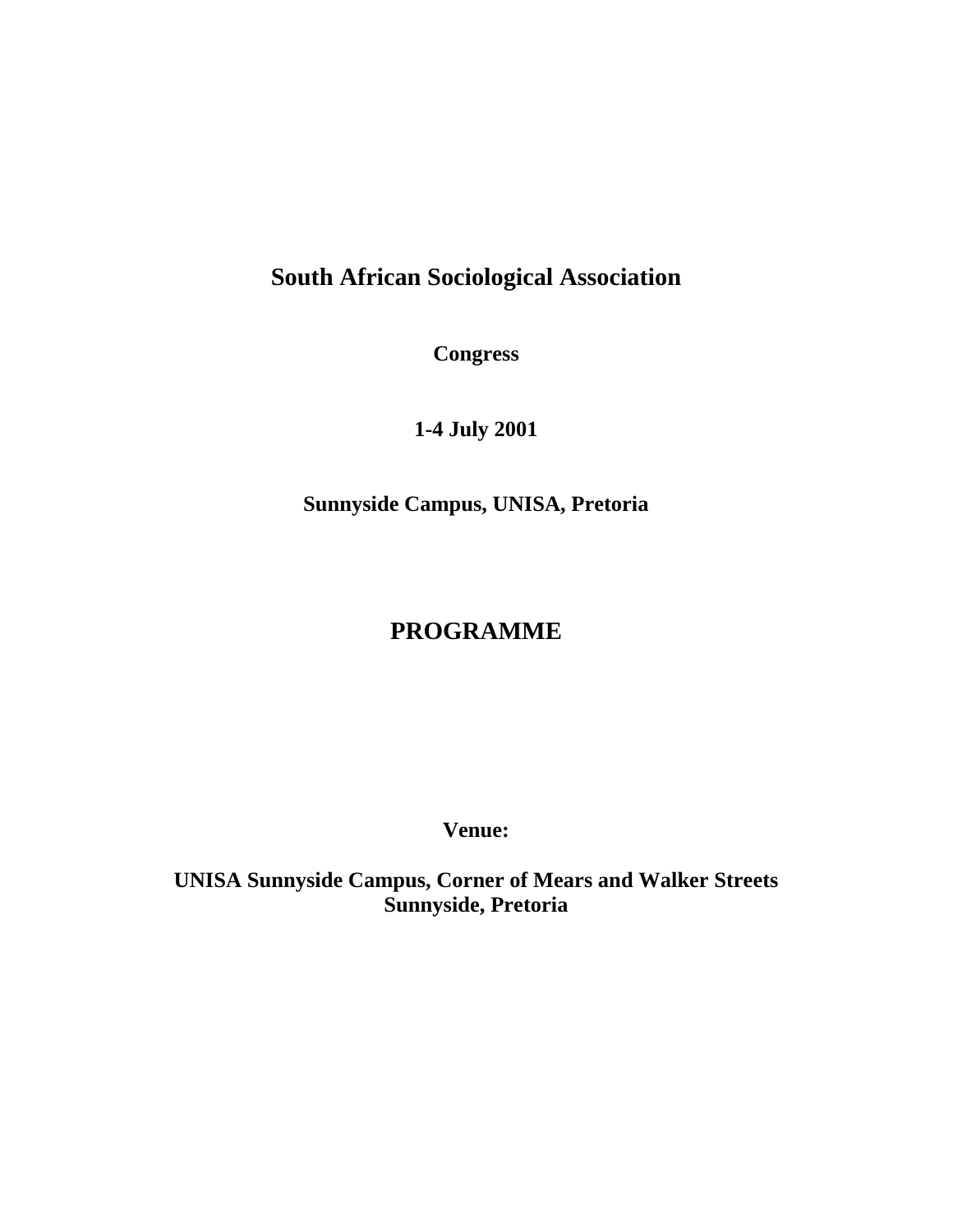# **South African Sociological Association**

**Congress** 

**1-4 July 2001** 

**Sunnyside Campus, UNISA, Pretoria** 

# **PROGRAMME**

**Venue:** 

**UNISA Sunnyside Campus, Corner of Mears and Walker Streets Sunnyside, Pretoria**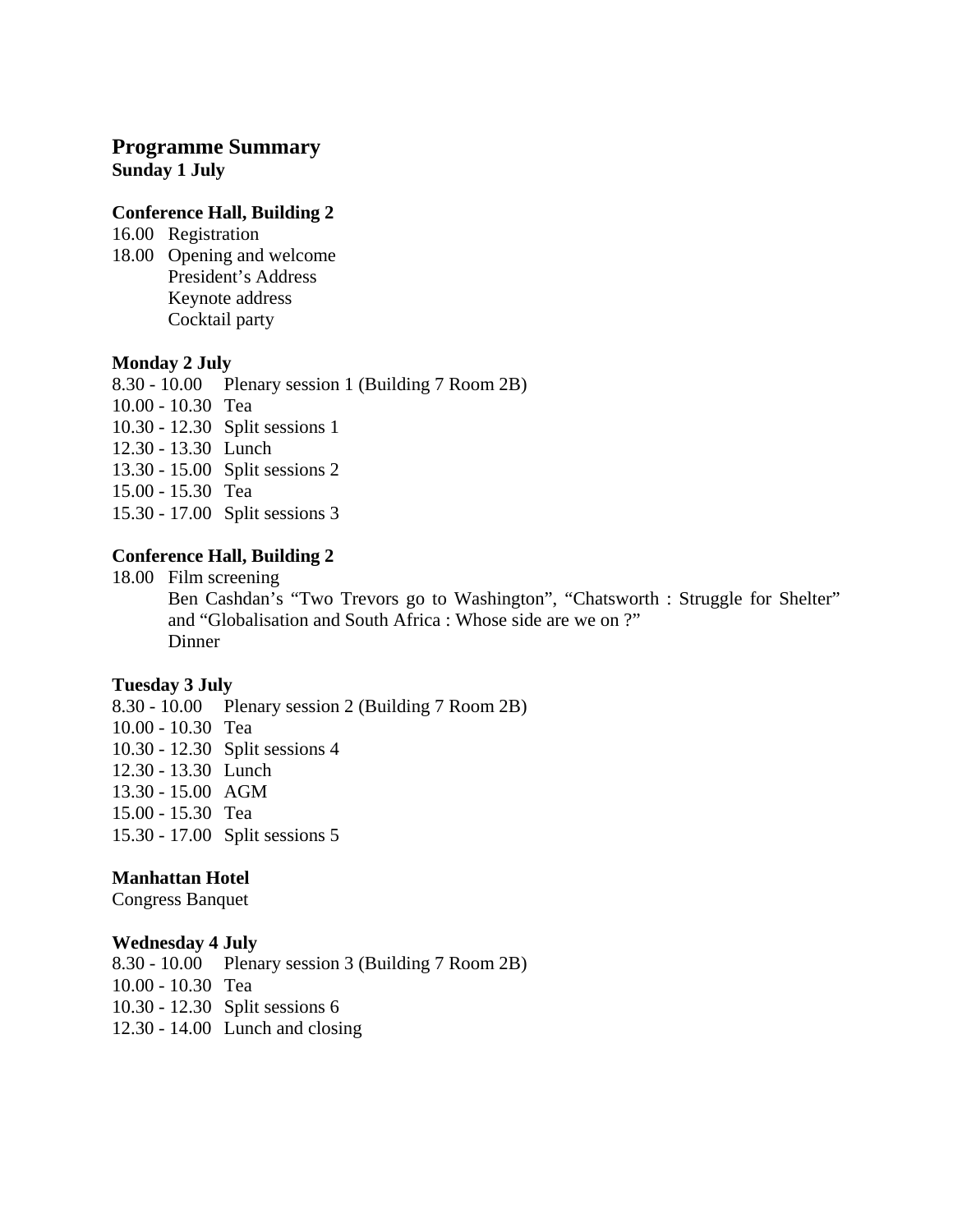# **Programme Summary Sunday 1 July**

#### **Conference Hall, Building 2**

16.00 Registration 18.00 Opening and welcome President's Address Keynote address Cocktail party

#### **Monday 2 July**

8.30 - 10.00 Plenary session 1 (Building 7 Room 2B) 10.00 - 10.30 Tea 10.30 - 12.30 Split sessions 1 12.30 - 13.30 Lunch 13.30 - 15.00 Split sessions 2 15.00 - 15.30 Tea 15.30 - 17.00 Split sessions 3

# **Conference Hall, Building 2**

18.00 Film screening Ben Cashdan's "Two Trevors go to Washington", "Chatsworth : Struggle for Shelter" and "Globalisation and South Africa : Whose side are we on ?" **Dinner** 

# **Tuesday 3 July**

8.30 - 10.00 Plenary session 2 (Building 7 Room 2B) 10.00 - 10.30 Tea 10.30 - 12.30 Split sessions 4 12.30 - 13.30 Lunch 13.30 - 15.00 AGM 15.00 - 15.30 Tea 15.30 - 17.00 Split sessions 5

# **Manhattan Hotel**

Congress Banquet

#### **Wednesday 4 July**

8.30 - 10.00 Plenary session 3 (Building 7 Room 2B) 10.00 - 10.30 Tea 10.30 - 12.30 Split sessions 6 12.30 - 14.00 Lunch and closing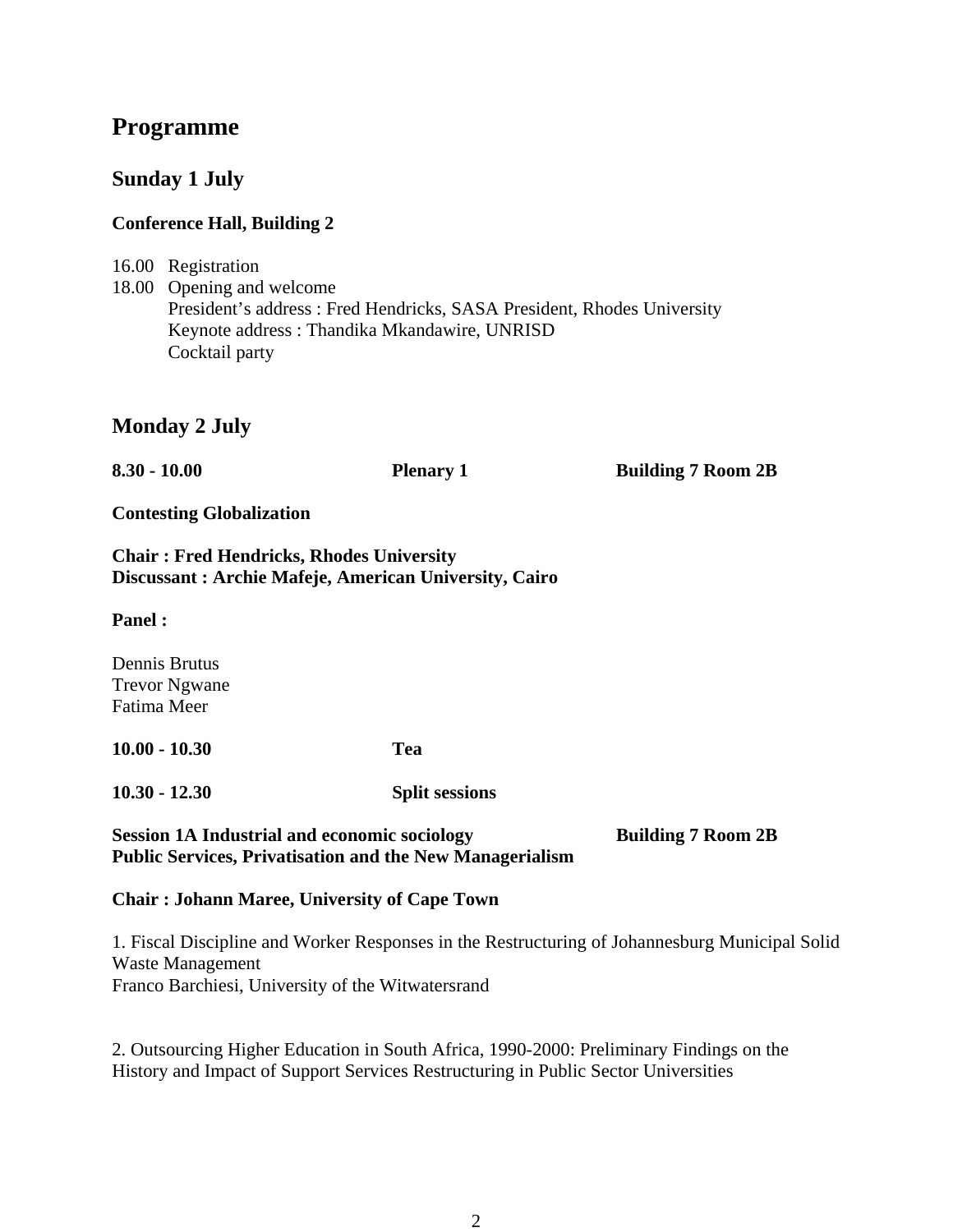# **Programme**

# **Sunday 1 July**

# **Conference Hall, Building 2**

16.00 Registration 18.00 Opening and welcome President's address : Fred Hendricks, SASA President, Rhodes University Keynote address : Thandika Mkandawire, UNRISD Cocktail party

# **Monday 2 July**

| $8.30 - 10.00$                                                                                           | <b>Plenary 1</b>      | <b>Building 7 Room 2B</b> |  |  |
|----------------------------------------------------------------------------------------------------------|-----------------------|---------------------------|--|--|
| <b>Contesting Globalization</b>                                                                          |                       |                           |  |  |
| <b>Chair: Fred Hendricks, Rhodes University</b><br>Discussant: Archie Mafeje, American University, Cairo |                       |                           |  |  |
| <b>Panel:</b>                                                                                            |                       |                           |  |  |
| Dennis Brutus<br><b>Trevor Ngwane</b><br>Fatima Meer                                                     |                       |                           |  |  |
| $10.00 - 10.30$                                                                                          | Tea                   |                           |  |  |
| $10.30 - 12.30$                                                                                          | <b>Split sessions</b> |                           |  |  |

# Session 1A Industrial and economic sociology **Building 7 Room 2B Public Services, Privatisation and the New Managerialism**

# **Chair : Johann Maree, University of Cape Town**

1. Fiscal Discipline and Worker Responses in the Restructuring of Johannesburg Municipal Solid Waste Management Franco Barchiesi, University of the Witwatersrand

2. Outsourcing Higher Education in South Africa, 1990-2000: Preliminary Findings on the History and Impact of Support Services Restructuring in Public Sector Universities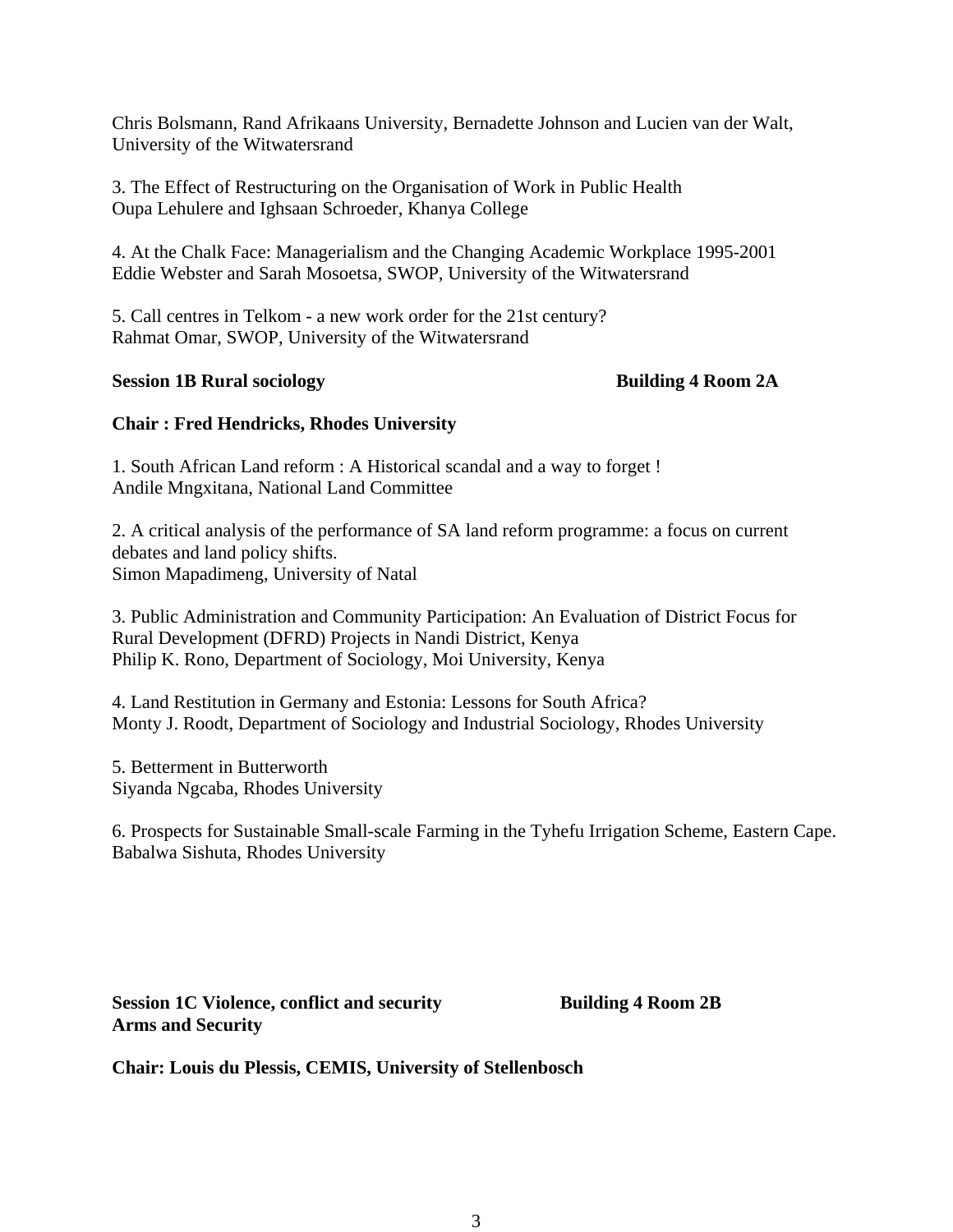Chris Bolsmann, Rand Afrikaans University, Bernadette Johnson and Lucien van der Walt, University of the Witwatersrand

3. The Effect of Restructuring on the Organisation of Work in Public Health Oupa Lehulere and Ighsaan Schroeder, Khanya College

4. At the Chalk Face: Managerialism and the Changing Academic Workplace 1995-2001 Eddie Webster and Sarah Mosoetsa, SWOP, University of the Witwatersrand

5. Call centres in Telkom - a new work order for the 21st century? Rahmat Omar, SWOP, University of the Witwatersrand

#### **Session 1B Rural sociology 6 8 and 24 Building 4 Room 2A**

# **Chair : Fred Hendricks, Rhodes University**

1. South African Land reform : A Historical scandal and a way to forget ! Andile Mngxitana, National Land Committee

2. A critical analysis of the performance of SA land reform programme: a focus on current debates and land policy shifts. Simon Mapadimeng, University of Natal

3. Public Administration and Community Participation: An Evaluation of District Focus for Rural Development (DFRD) Projects in Nandi District, Kenya Philip K. Rono, Department of Sociology, Moi University, Kenya

4. Land Restitution in Germany and Estonia: Lessons for South Africa? Monty J. Roodt, Department of Sociology and Industrial Sociology, Rhodes University

5. Betterment in Butterworth Siyanda Ngcaba, Rhodes University

6. Prospects for Sustainable Small-scale Farming in the Tyhefu Irrigation Scheme, Eastern Cape. Babalwa Sishuta, Rhodes University

**Session 1C Violence, conflict and security Building 4 Room 2B Arms and Security** 

**Chair: Louis du Plessis, CEMIS, University of Stellenbosch**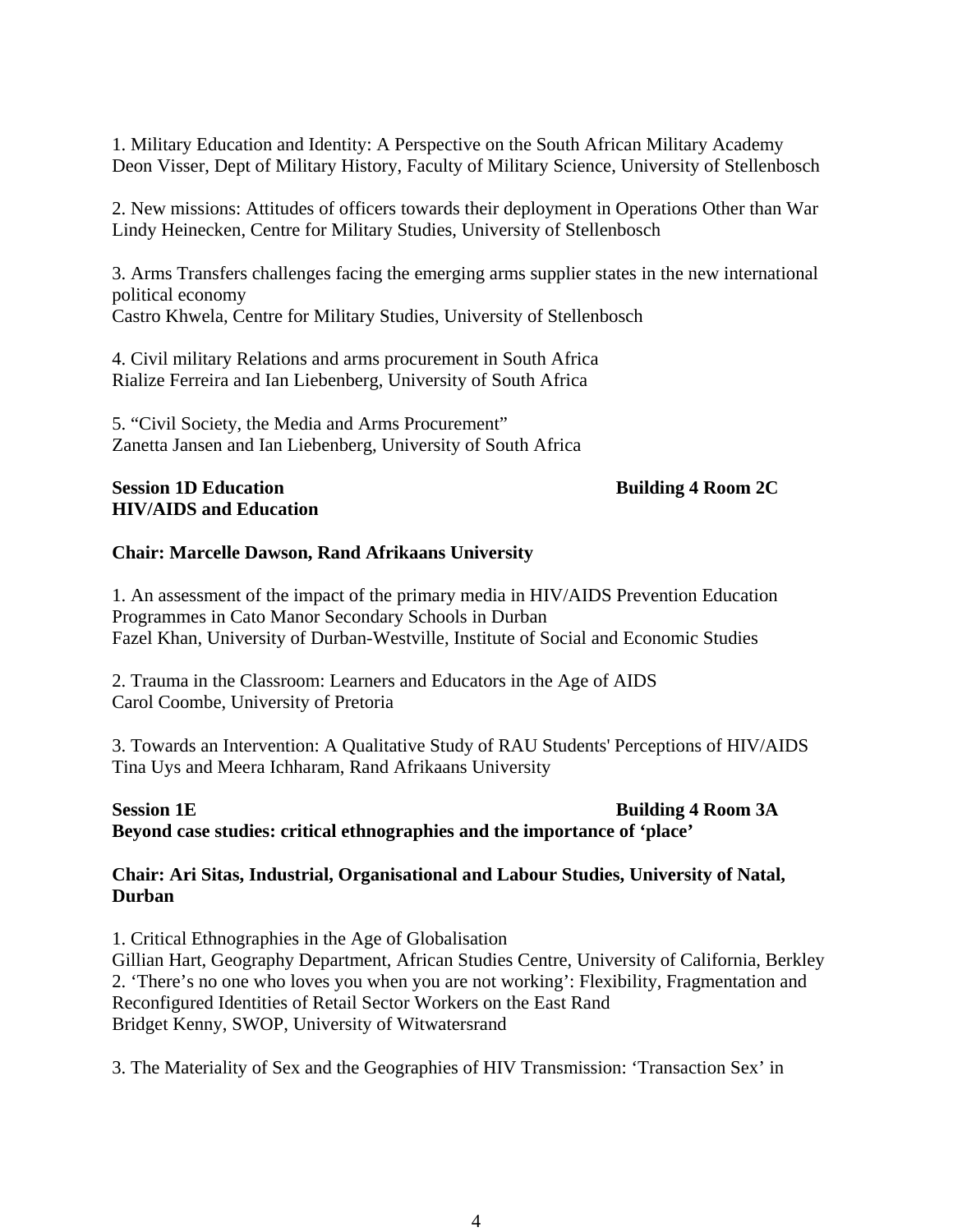1. Military Education and Identity: A Perspective on the South African Military Academy Deon Visser, Dept of Military History, Faculty of Military Science, University of Stellenbosch

2. New missions: Attitudes of officers towards their deployment in Operations Other than War Lindy Heinecken, Centre for Military Studies, University of Stellenbosch

3. Arms Transfers challenges facing the emerging arms supplier states in the new international political economy Castro Khwela, Centre for Military Studies, University of Stellenbosch

4. Civil military Relations and arms procurement in South Africa Rialize Ferreira and Ian Liebenberg, University of South Africa

5. "Civil Society, the Media and Arms Procurement" Zanetta Jansen and Ian Liebenberg, University of South Africa

### **Session 1D Education Building 4 Room 2C Building 4 Room 2C HIV/AIDS and Education**

# **Chair: Marcelle Dawson, Rand Afrikaans University**

1. An assessment of the impact of the primary media in HIV/AIDS Prevention Education Programmes in Cato Manor Secondary Schools in Durban Fazel Khan, University of Durban-Westville, Institute of Social and Economic Studies

2. Trauma in the Classroom: Learners and Educators in the Age of AIDS Carol Coombe, University of Pretoria

3. Towards an Intervention: A Qualitative Study of RAU Students' Perceptions of HIV/AIDS Tina Uys and Meera Ichharam, Rand Afrikaans University

# **Session 1E Building 4 Room 3A Beyond case studies: critical ethnographies and the importance of 'place'**

# **Chair: Ari Sitas, Industrial, Organisational and Labour Studies, University of Natal, Durban**

1. Critical Ethnographies in the Age of Globalisation Gillian Hart, Geography Department, African Studies Centre, University of California, Berkley 2. 'There's no one who loves you when you are not working': Flexibility, Fragmentation and Reconfigured Identities of Retail Sector Workers on the East Rand Bridget Kenny, SWOP, University of Witwatersrand

3. The Materiality of Sex and the Geographies of HIV Transmission: 'Transaction Sex' in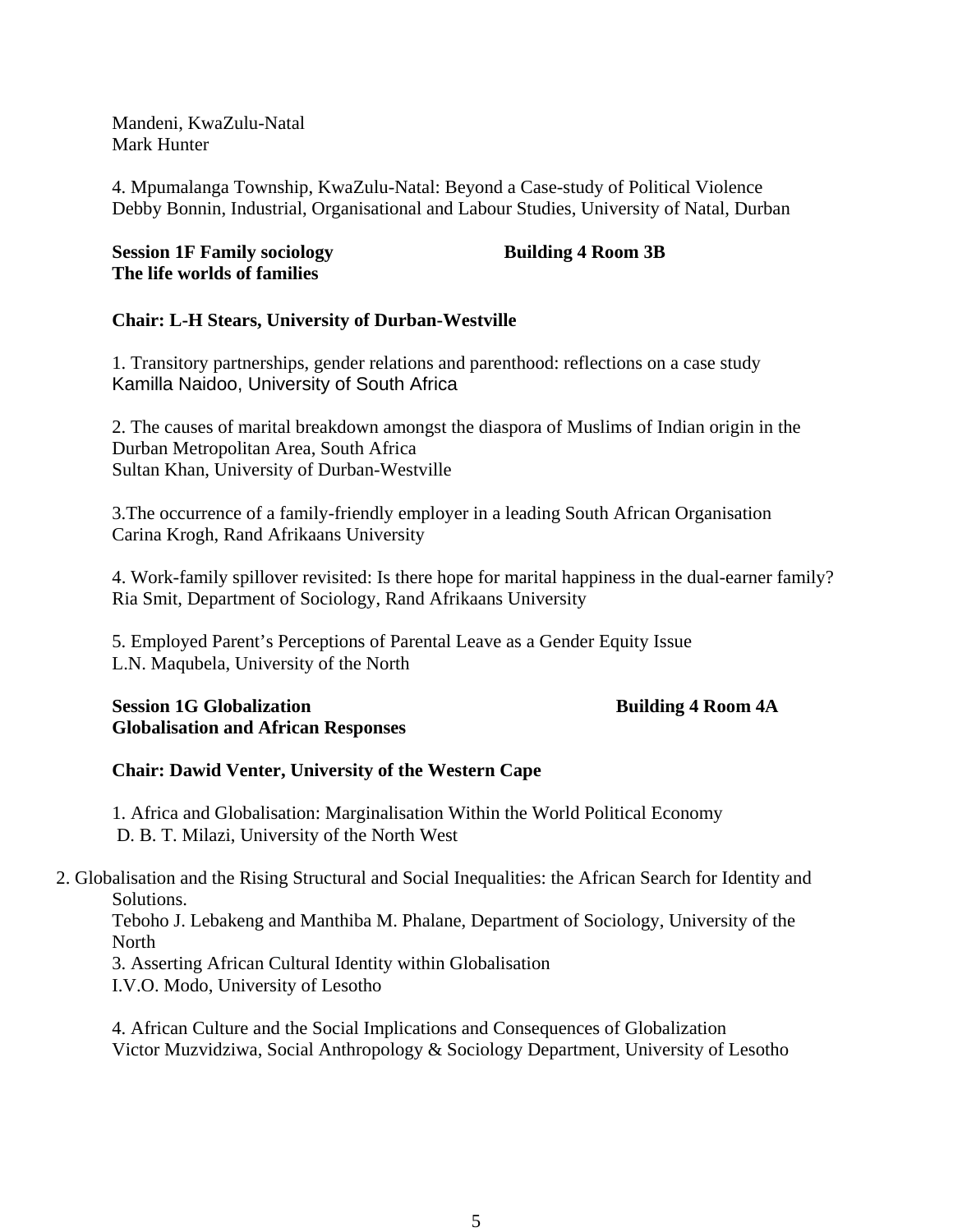Mandeni, KwaZulu-Natal Mark Hunter

4. Mpumalanga Township, KwaZulu-Natal: Beyond a Case-study of Political Violence Debby Bonnin, Industrial, Organisational and Labour Studies, University of Natal, Durban

# **Session 1F Family sociology Building 4 Room 3B The life worlds of families**

# **Chair: L-H Stears, University of Durban-Westville**

1. Transitory partnerships, gender relations and parenthood: reflections on a case study Kamilla Naidoo, University of South Africa

2. The causes of marital breakdown amongst the diaspora of Muslims of Indian origin in the Durban Metropolitan Area, South Africa Sultan Khan, University of Durban-Westville

3.The occurrence of a family-friendly employer in a leading South African Organisation Carina Krogh, Rand Afrikaans University

4. Work-family spillover revisited: Is there hope for marital happiness in the dual-earner family? Ria Smit, Department of Sociology, Rand Afrikaans University

5. Employed Parent's Perceptions of Parental Leave as a Gender Equity Issue L.N. Maqubela, University of the North

# **Session 1G Globalization Building 4 Room 4A Globalisation and African Responses**

# **Chair: Dawid Venter, University of the Western Cape**

1. Africa and Globalisation: Marginalisation Within the World Political Economy D. B. T. Milazi, University of the North West

2. Globalisation and the Rising Structural and Social Inequalities: the African Search for Identity and Solutions.

Teboho J. Lebakeng and Manthiba M. Phalane, Department of Sociology, University of the North

3. Asserting African Cultural Identity within Globalisation

I.V.O. Modo, University of Lesotho

4. African Culture and the Social Implications and Consequences of Globalization Victor Muzvidziwa, Social Anthropology & Sociology Department, University of Lesotho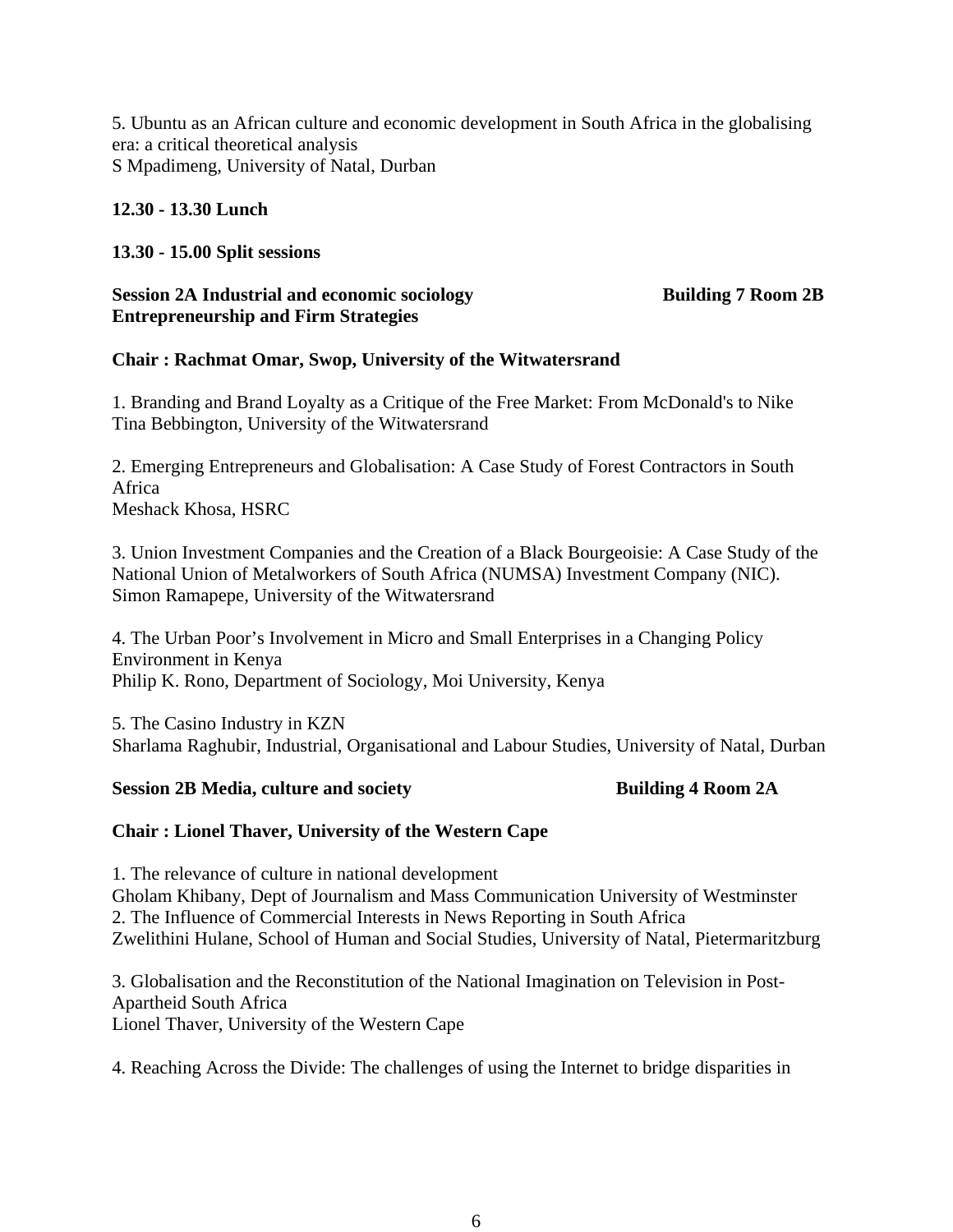5. Ubuntu as an African culture and economic development in South Africa in the globalising era: a critical theoretical analysis S Mpadimeng, University of Natal, Durban

# **12.30 - 13.30 Lunch**

# **13.30 - 15.00 Split sessions**

#### **Session 2A Industrial and economic sociology Building 7 Room 2B Entrepreneurship and Firm Strategies**

# **Chair : Rachmat Omar, Swop, University of the Witwatersrand**

1. Branding and Brand Loyalty as a Critique of the Free Market: From McDonald's to Nike Tina Bebbington, University of the Witwatersrand

2. Emerging Entrepreneurs and Globalisation: A Case Study of Forest Contractors in South Africa Meshack Khosa, HSRC

3. Union Investment Companies and the Creation of a Black Bourgeoisie: A Case Study of the National Union of Metalworkers of South Africa (NUMSA) Investment Company (NIC). Simon Ramapepe, University of the Witwatersrand

4. The Urban Poor's Involvement in Micro and Small Enterprises in a Changing Policy Environment in Kenya Philip K. Rono, Department of Sociology, Moi University, Kenya

5. The Casino Industry in KZN Sharlama Raghubir, Industrial, Organisational and Labour Studies, University of Natal, Durban

#### **Session 2B Media, culture and society and Society Building 4 Room 2A**

# **Chair : Lionel Thaver, University of the Western Cape**

1. The relevance of culture in national development Gholam Khibany, Dept of Journalism and Mass Communication University of Westminster 2. The Influence of Commercial Interests in News Reporting in South Africa Zwelithini Hulane, School of Human and Social Studies, University of Natal, Pietermaritzburg

3. Globalisation and the Reconstitution of the National Imagination on Television in Post-Apartheid South Africa Lionel Thaver, University of the Western Cape

4. Reaching Across the Divide: The challenges of using the Internet to bridge disparities in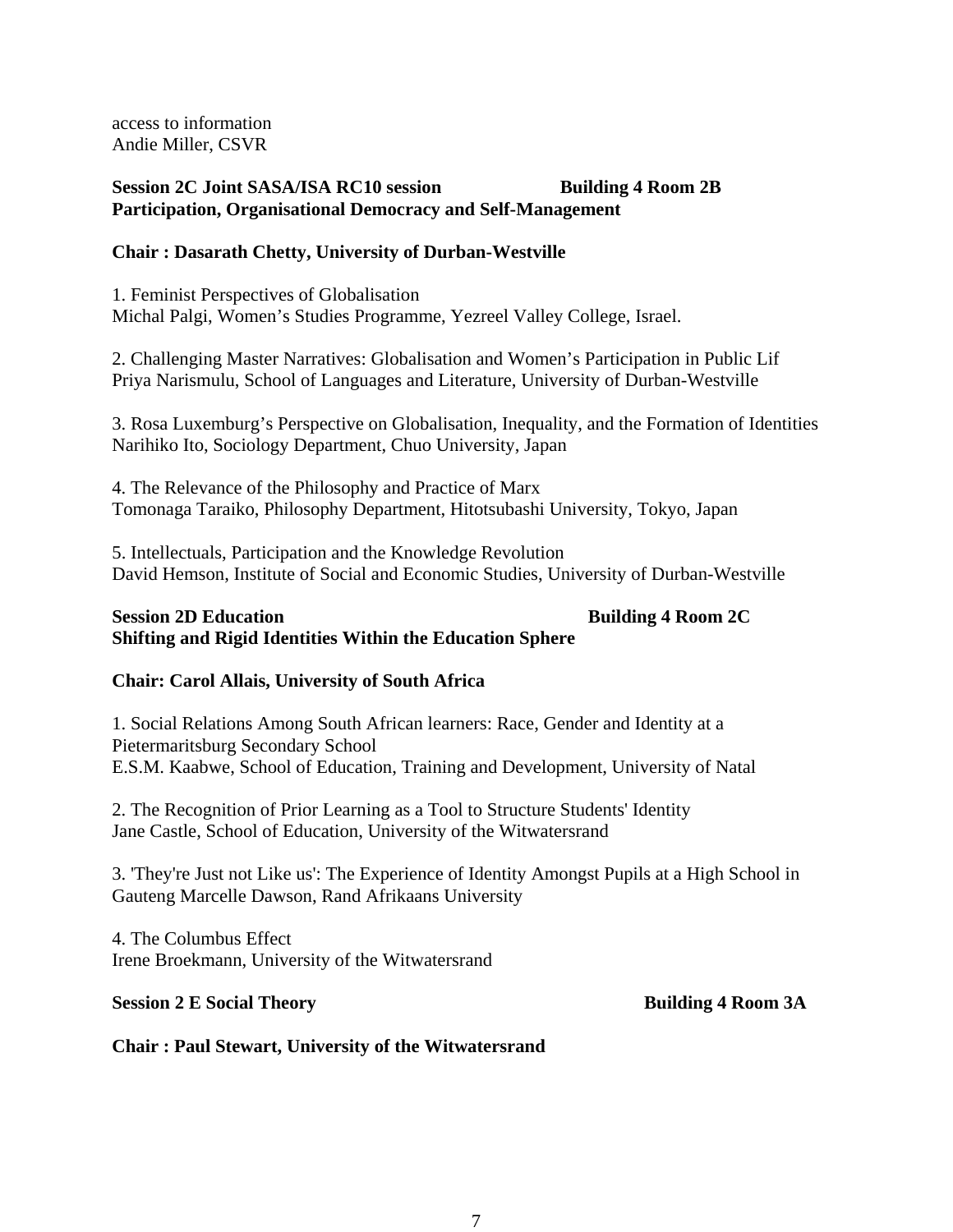access to information Andie Miller, CSVR

# **Session 2C Joint SASA/ISA RC10 session Building 4 Room 2B Participation, Organisational Democracy and Self-Management**

# **Chair : Dasarath Chetty, University of Durban-Westville**

1. Feminist Perspectives of Globalisation Michal Palgi, Women's Studies Programme, Yezreel Valley College, Israel.

2. Challenging Master Narratives: Globalisation and Women's Participation in Public Lif Priya Narismulu, School of Languages and Literature, University of Durban-Westville

3. Rosa Luxemburg's Perspective on Globalisation, Inequality, and the Formation of Identities Narihiko Ito, Sociology Department, Chuo University, Japan

4. The Relevance of the Philosophy and Practice of Marx Tomonaga Taraiko, Philosophy Department, Hitotsubashi University, Tokyo, Japan

5. Intellectuals, Participation and the Knowledge Revolution David Hemson, Institute of Social and Economic Studies, University of Durban-Westville

# **Session 2D Education 6 Research Building 4 Room 2C Building 4 Room 2C Shifting and Rigid Identities Within the Education Sphere**

# **Chair: Carol Allais, University of South Africa**

1. Social Relations Among South African learners: Race, Gender and Identity at a Pietermaritsburg Secondary School E.S.M. Kaabwe, School of Education, Training and Development, University of Natal

2. The Recognition of Prior Learning as a Tool to Structure Students' Identity Jane Castle, School of Education, University of the Witwatersrand

3. 'They're Just not Like us': The Experience of Identity Amongst Pupils at a High School in Gauteng Marcelle Dawson, Rand Afrikaans University

4. The Columbus Effect Irene Broekmann, University of the Witwatersrand

# **Session 2 E Social Theory Building 4 Room 3A**

# **Chair : Paul Stewart, University of the Witwatersrand**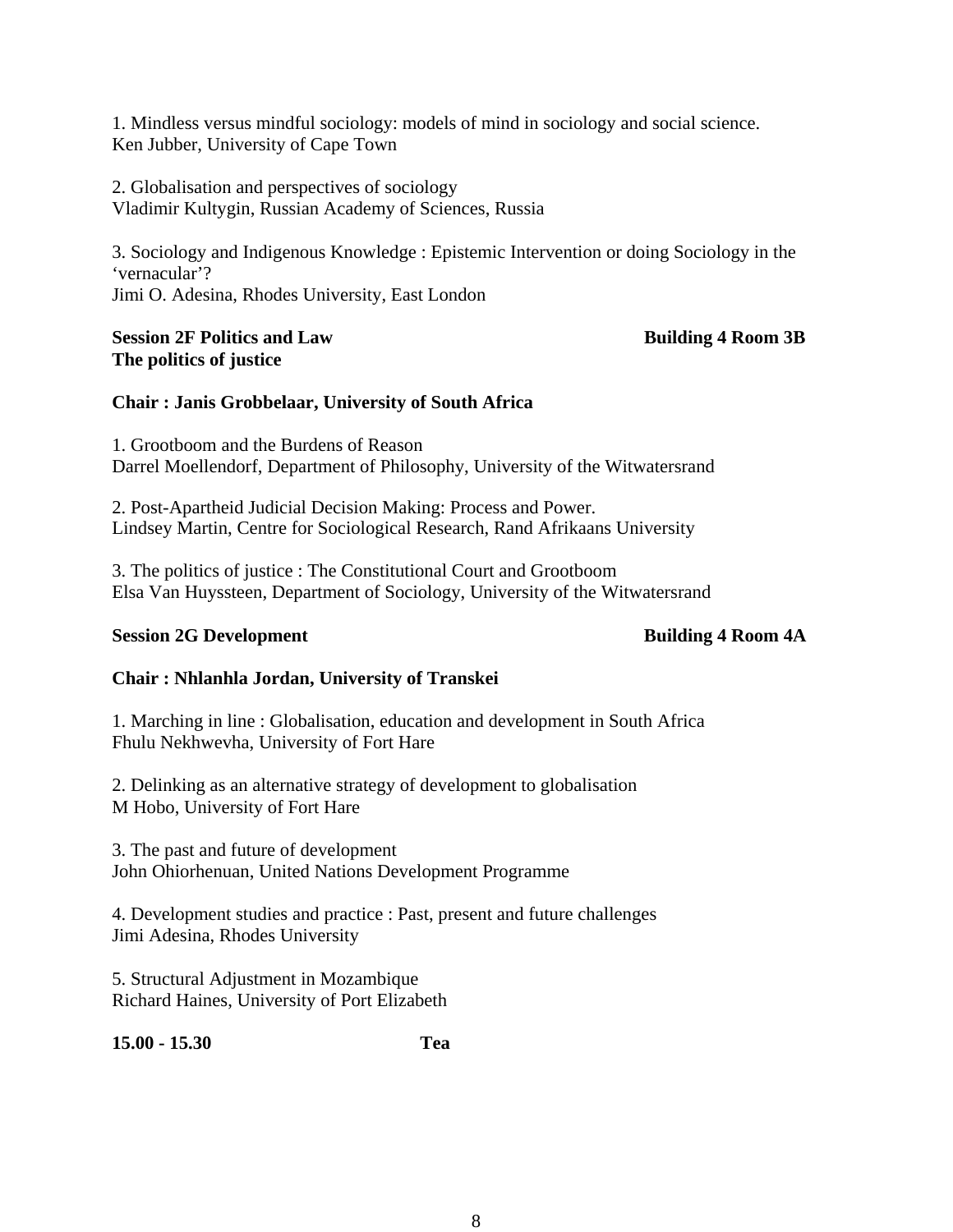1. Mindless versus mindful sociology: models of mind in sociology and social science. Ken Jubber, University of Cape Town

2. Globalisation and perspectives of sociology Vladimir Kultygin, Russian Academy of Sciences, Russia

3. Sociology and Indigenous Knowledge : Epistemic Intervention or doing Sociology in the 'vernacular'? Jimi O. Adesina, Rhodes University, East London

# **Session 2F Politics and Law Building 4 Room 3B The politics of justice**

# **Chair : Janis Grobbelaar, University of South Africa**

1. Grootboom and the Burdens of Reason Darrel Moellendorf, Department of Philosophy, University of the Witwatersrand

2. Post-Apartheid Judicial Decision Making: Process and Power. Lindsey Martin, Centre for Sociological Research, Rand Afrikaans University

3. The politics of justice : The Constitutional Court and Grootboom Elsa Van Huyssteen, Department of Sociology, University of the Witwatersrand

# **Session 2G Development Building 4 Room 4A**

# **Chair : Nhlanhla Jordan, University of Transkei**

1. Marching in line : Globalisation, education and development in South Africa Fhulu Nekhwevha, University of Fort Hare

2. Delinking as an alternative strategy of development to globalisation M Hobo, University of Fort Hare

3. The past and future of development John Ohiorhenuan, United Nations Development Programme

4. Development studies and practice : Past, present and future challenges Jimi Adesina, Rhodes University

5. Structural Adjustment in Mozambique Richard Haines, University of Port Elizabeth

**15.00 - 15.30 Tea**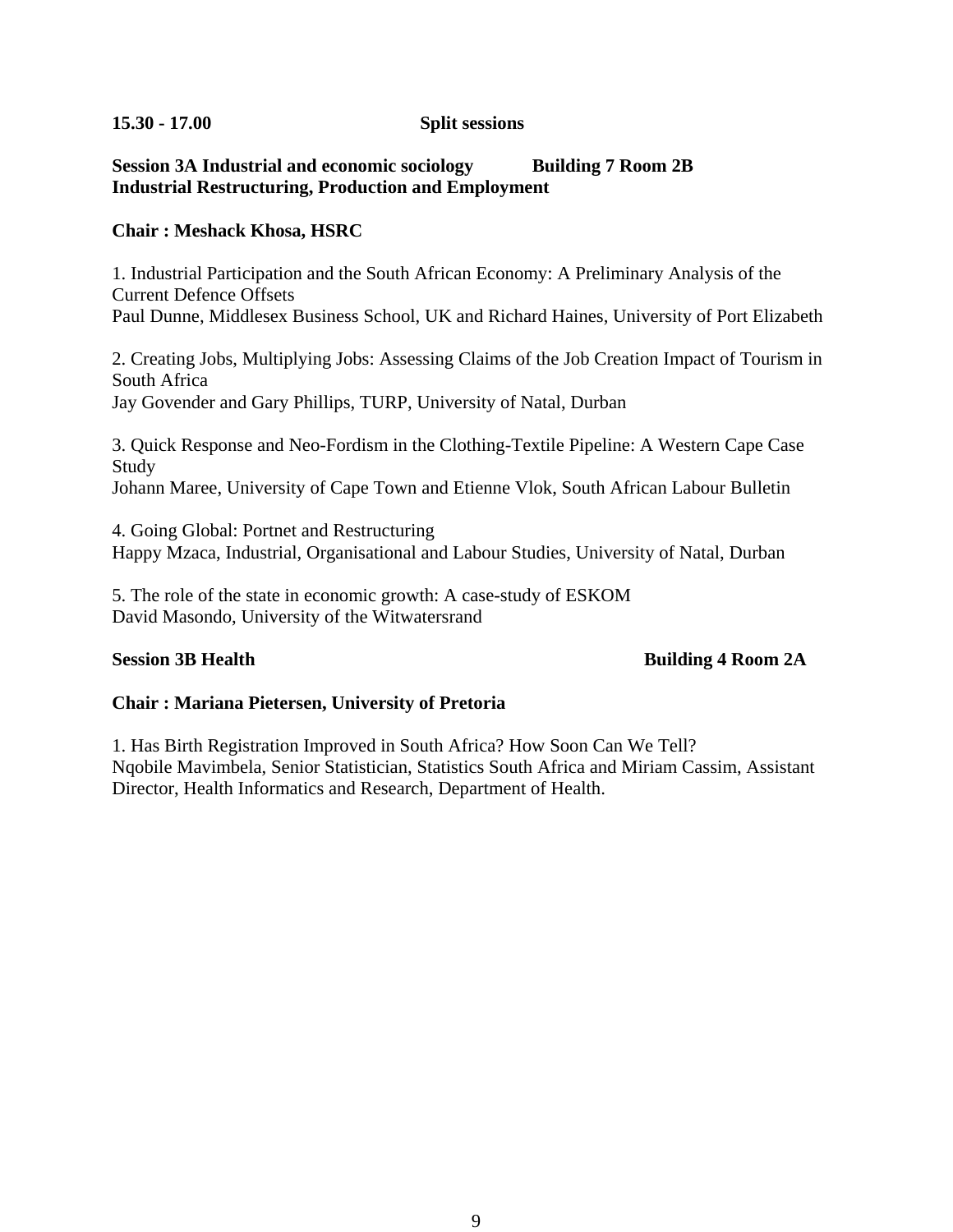# **15.30 - 17.00 Split sessions**

# **Session 3A Industrial and economic sociology Building 7 Room 2B Industrial Restructuring, Production and Employment**

# **Chair : Meshack Khosa, HSRC**

1. Industrial Participation and the South African Economy: A Preliminary Analysis of the Current Defence Offsets Paul Dunne, Middlesex Business School, UK and Richard Haines, University of Port Elizabeth

2. Creating Jobs, Multiplying Jobs: Assessing Claims of the Job Creation Impact of Tourism in South Africa

Jay Govender and Gary Phillips, TURP, University of Natal, Durban

3. Quick Response and Neo-Fordism in the Clothing-Textile Pipeline: A Western Cape Case Study Johann Maree, University of Cape Town and Etienne Vlok, South African Labour Bulletin

4. Going Global: Portnet and Restructuring Happy Mzaca, Industrial, Organisational and Labour Studies, University of Natal, Durban

5. The role of the state in economic growth: A case-study of ESKOM David Masondo, University of the Witwatersrand

# **Session 3B Health** Building 4 Room 2A

# **Chair : Mariana Pietersen, University of Pretoria**

1. Has Birth Registration Improved in South Africa? How Soon Can We Tell? Nqobile Mavimbela, Senior Statistician, Statistics South Africa and Miriam Cassim, Assistant Director, Health Informatics and Research, Department of Health.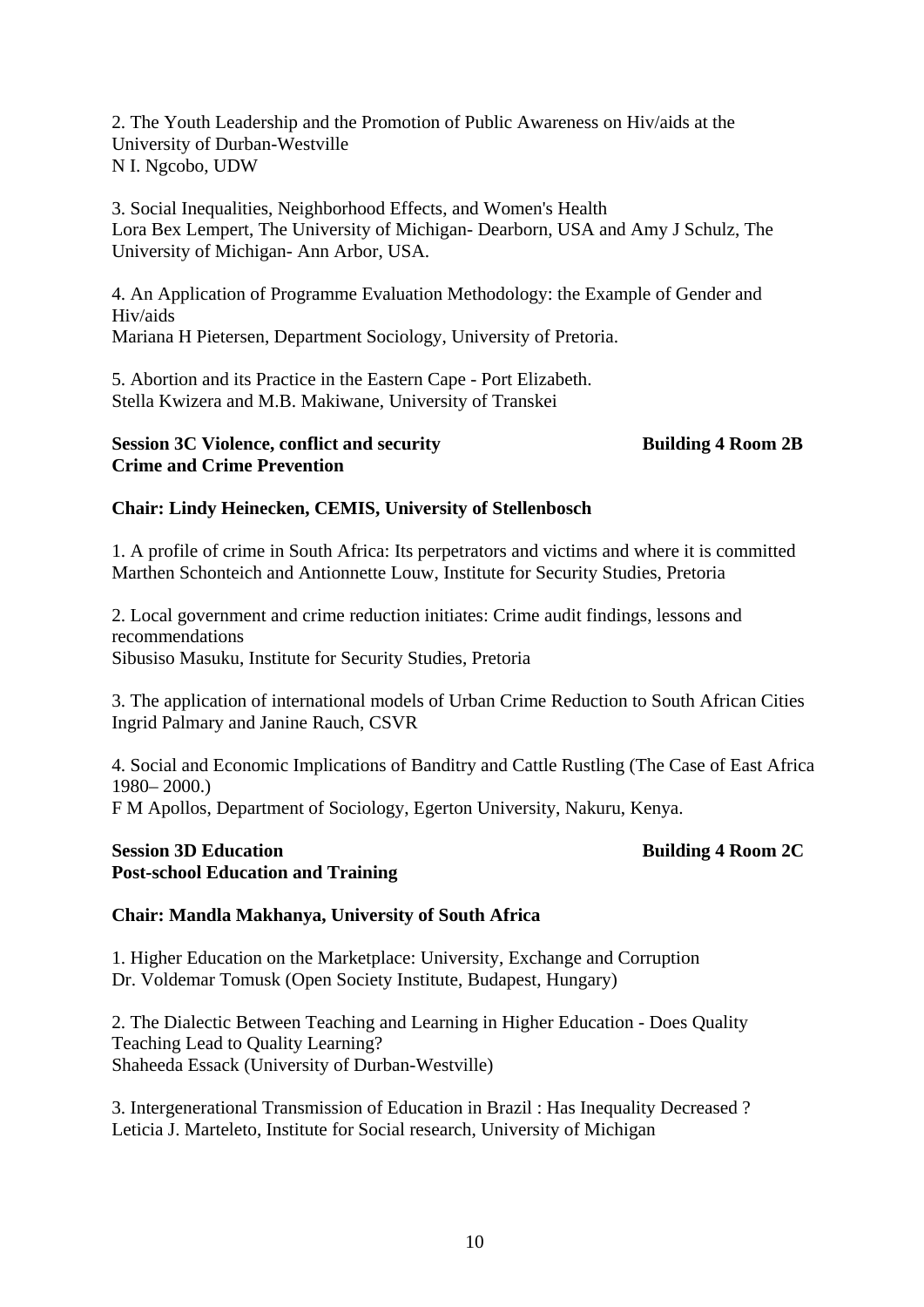2. The Youth Leadership and the Promotion of Public Awareness on Hiv/aids at the University of Durban-Westville N I. Ngcobo, UDW

3. Social Inequalities, Neighborhood Effects, and Women's Health Lora Bex Lempert, The University of Michigan- Dearborn, USA and Amy J Schulz, The University of Michigan- Ann Arbor, USA.

4. An Application of Programme Evaluation Methodology: the Example of Gender and Hiv/aids Mariana H Pietersen, Department Sociology, University of Pretoria.

5. Abortion and its Practice in the Eastern Cape - Port Elizabeth. Stella Kwizera and M.B. Makiwane, University of Transkei

### **Session 3C Violence, conflict and security Building 4 Room 2B Crime and Crime Prevention**

# **Chair: Lindy Heinecken, CEMIS, University of Stellenbosch**

1. A profile of crime in South Africa: Its perpetrators and victims and where it is committed Marthen Schonteich and Antionnette Louw, Institute for Security Studies, Pretoria

2. Local government and crime reduction initiates: Crime audit findings, lessons and recommendations Sibusiso Masuku, Institute for Security Studies, Pretoria

3. The application of international models of Urban Crime Reduction to South African Cities Ingrid Palmary and Janine Rauch, CSVR

4. Social and Economic Implications of Banditry and Cattle Rustling (The Case of East Africa 1980– 2000.) F M Apollos, Department of Sociology, Egerton University, Nakuru, Kenya.

### **Session 3D Education** Building 4 Room 2C **Post-school Education and Training**

# **Chair: Mandla Makhanya, University of South Africa**

1. Higher Education on the Marketplace: University, Exchange and Corruption Dr. Voldemar Tomusk (Open Society Institute, Budapest, Hungary)

2. The Dialectic Between Teaching and Learning in Higher Education - Does Quality Teaching Lead to Quality Learning? Shaheeda Essack (University of Durban-Westville)

3. Intergenerational Transmission of Education in Brazil : Has Inequality Decreased ? Leticia J. Marteleto, Institute for Social research, University of Michigan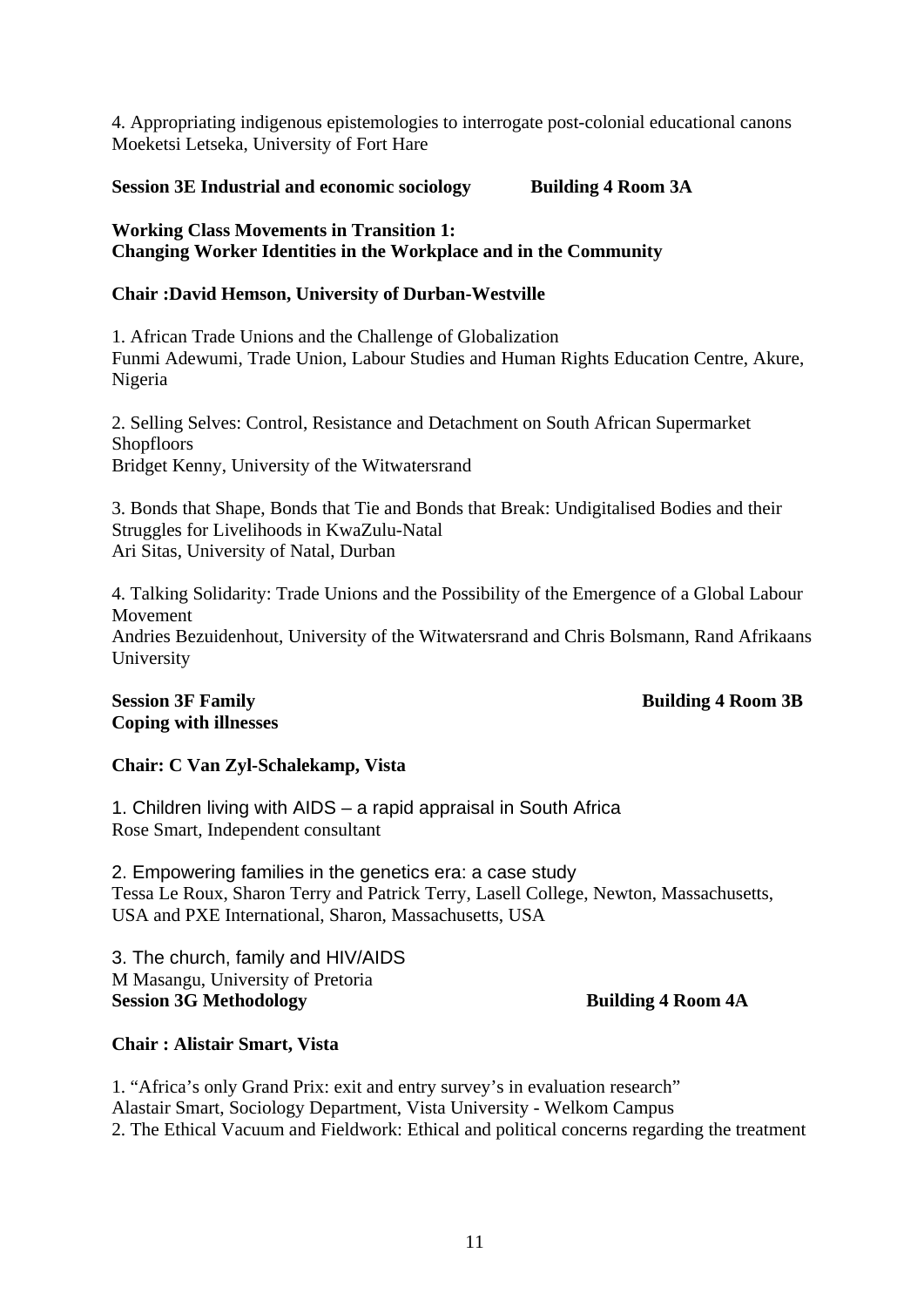4. Appropriating indigenous epistemologies to interrogate post-colonial educational canons Moeketsi Letseka, University of Fort Hare

**Session 3E Industrial and economic sociology Building 4 Room 3A** 

# **Working Class Movements in Transition 1: Changing Worker Identities in the Workplace and in the Community**

# **Chair :David Hemson, University of Durban-Westville**

1. African Trade Unions and the Challenge of Globalization Funmi Adewumi, Trade Union, Labour Studies and Human Rights Education Centre, Akure, Nigeria

2. Selling Selves: Control, Resistance and Detachment on South African Supermarket Shopfloors Bridget Kenny, University of the Witwatersrand

3. Bonds that Shape, Bonds that Tie and Bonds that Break: Undigitalised Bodies and their Struggles for Livelihoods in KwaZulu-Natal Ari Sitas, University of Natal, Durban

4. Talking Solidarity: Trade Unions and the Possibility of the Emergence of a Global Labour Movement Andries Bezuidenhout, University of the Witwatersrand and Chris Bolsmann, Rand Afrikaans University

# **Coping with illnesses**

# **Session 3F Family Session 3F Family Session 3F Family Session 3B Building 4 Room 3B**

# **Chair: C Van Zyl-Schalekamp, Vista**

1. Children living with AIDS – a rapid appraisal in South Africa Rose Smart, Independent consultant

2. Empowering families in the genetics era: a case study Tessa Le Roux, Sharon Terry and Patrick Terry, Lasell College, Newton, Massachusetts, USA and PXE International, Sharon, Massachusetts, USA

3. The church, family and HIV/AIDS M Masangu, University of Pretoria **Session 3G** Methodology Building 4 Room 4A

# **Chair : Alistair Smart, Vista**

1. "Africa's only Grand Prix: exit and entry survey's in evaluation research" Alastair Smart, Sociology Department, Vista University - Welkom Campus 2. The Ethical Vacuum and Fieldwork: Ethical and political concerns regarding the treatment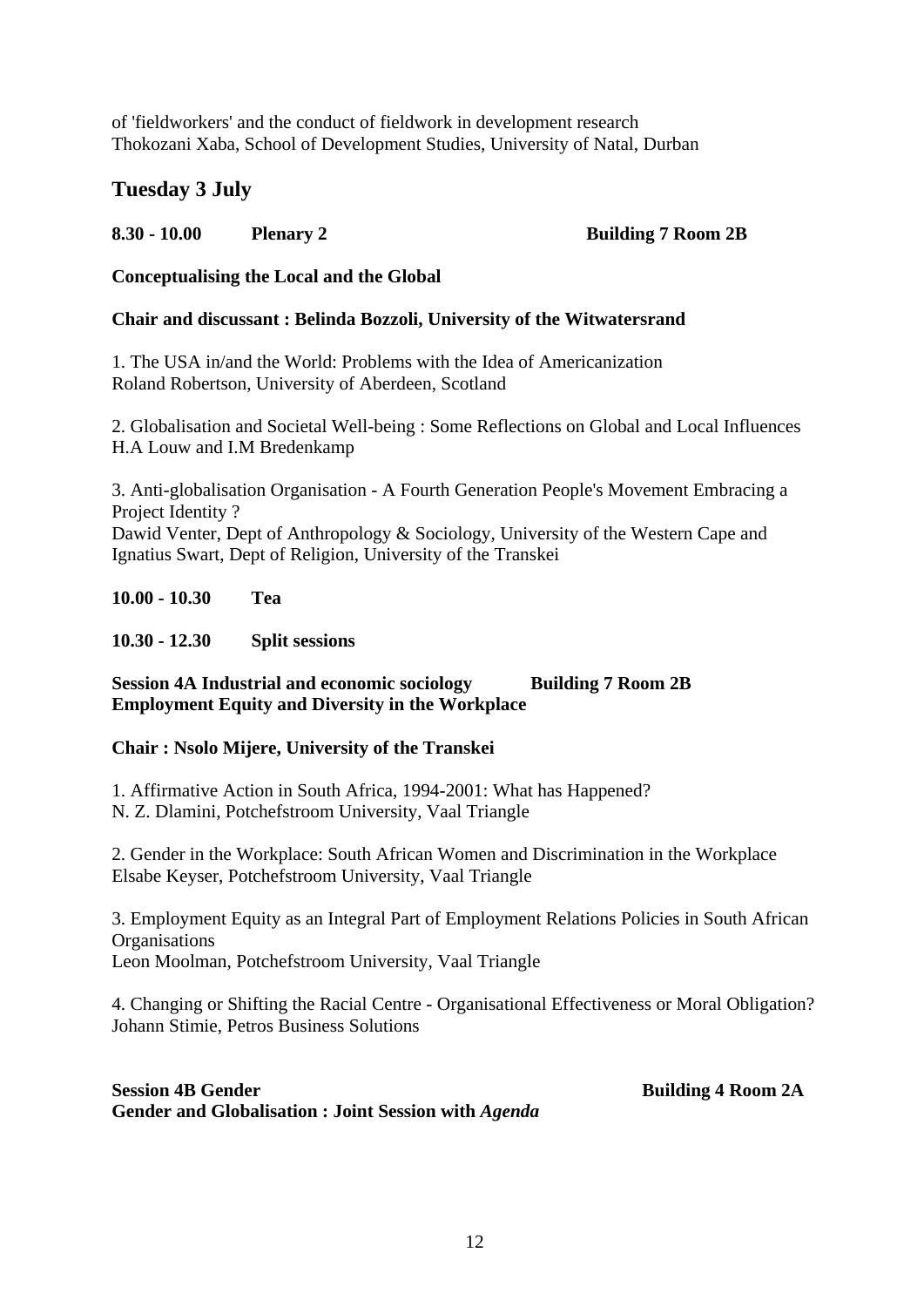of 'fieldworkers' and the conduct of fieldwork in development research Thokozani Xaba, School of Development Studies, University of Natal, Durban

# **Tuesday 3 July**

# **8.30 - 10.00 Plenary 2 Building 7 Room 2B**

# **Conceptualising the Local and the Global**

# **Chair and discussant : Belinda Bozzoli, University of the Witwatersrand**

1. The USA in/and the World: Problems with the Idea of Americanization Roland Robertson, University of Aberdeen, Scotland

2. Globalisation and Societal Well-being : Some Reflections on Global and Local Influences H.A Louw and I.M Bredenkamp

3. Anti-globalisation Organisation - A Fourth Generation People's Movement Embracing a Project Identity ? Dawid Venter, Dept of Anthropology & Sociology, University of the Western Cape and Ignatius Swart, Dept of Religion, University of the Transkei

**10.00 - 10.30 Tea** 

**10.30 - 12.30 Split sessions** 

# **Session 4A Industrial and economic sociology Building 7 Room 2B Employment Equity and Diversity in the Workplace**

# **Chair : Nsolo Mijere, University of the Transkei**

1. Affirmative Action in South Africa, 1994-2001: What has Happened?

N. Z. Dlamini, Potchefstroom University, Vaal Triangle

2. Gender in the Workplace: South African Women and Discrimination in the Workplace Elsabe Keyser, Potchefstroom University, Vaal Triangle

3. Employment Equity as an Integral Part of Employment Relations Policies in South African **Organisations** Leon Moolman, Potchefstroom University, Vaal Triangle

4. Changing or Shifting the Racial Centre - Organisational Effectiveness or Moral Obligation? Johann Stimie, Petros Business Solutions

# **Session 4B Gender Building 4 Room 2A Gender and Globalisation : Joint Session with** *Agenda*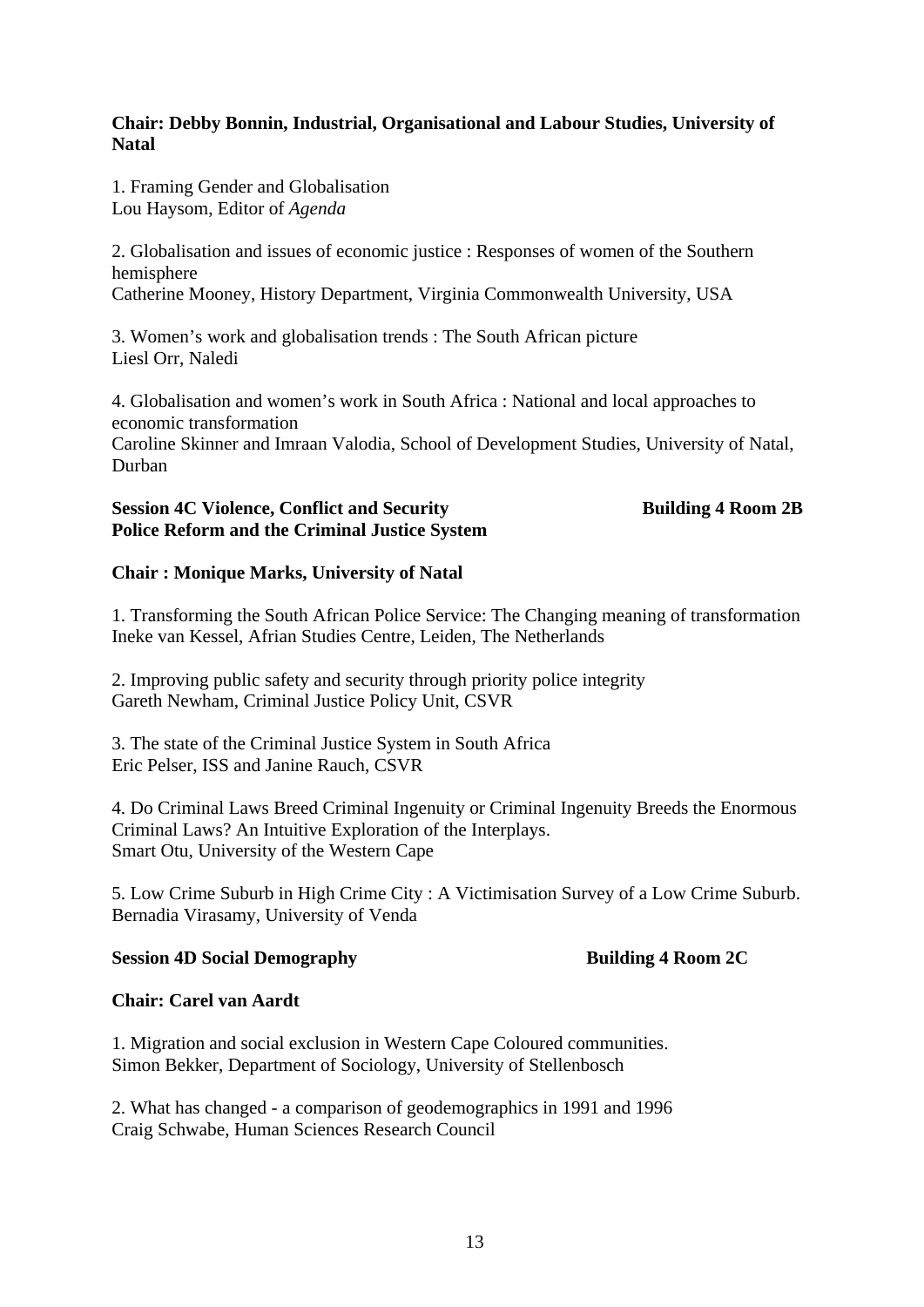# **Chair: Debby Bonnin, Industrial, Organisational and Labour Studies, University of Natal**

1. Framing Gender and Globalisation Lou Haysom, Editor of *Agenda*

2. Globalisation and issues of economic justice : Responses of women of the Southern hemisphere Catherine Mooney, History Department, Virginia Commonwealth University, USA

3. Women's work and globalisation trends : The South African picture Liesl Orr, Naledi

4. Globalisation and women's work in South Africa : National and local approaches to economic transformation

Caroline Skinner and Imraan Valodia, School of Development Studies, University of Natal, Durban

# **Session 4C Violence, Conflict and Security Fig. 3. Building 4 Room 2B Police Reform and the Criminal Justice System**

# **Chair : Monique Marks, University of Natal**

1. Transforming the South African Police Service: The Changing meaning of transformation Ineke van Kessel, Afrian Studies Centre, Leiden, The Netherlands

2. Improving public safety and security through priority police integrity Gareth Newham, Criminal Justice Policy Unit, CSVR

3. The state of the Criminal Justice System in South Africa Eric Pelser, ISS and Janine Rauch, CSVR

4. Do Criminal Laws Breed Criminal Ingenuity or Criminal Ingenuity Breeds the Enormous Criminal Laws? An Intuitive Exploration of the Interplays. Smart Otu, University of the Western Cape

5. Low Crime Suburb in High Crime City : A Victimisation Survey of a Low Crime Suburb. Bernadia Virasamy, University of Venda

# **Session 4D Social Demography Building 4 Room 2C**

# **Chair: Carel van Aardt**

1. Migration and social exclusion in Western Cape Coloured communities. Simon Bekker, Department of Sociology, University of Stellenbosch

2. What has changed - a comparison of geodemographics in 1991 and 1996 Craig Schwabe, Human Sciences Research Council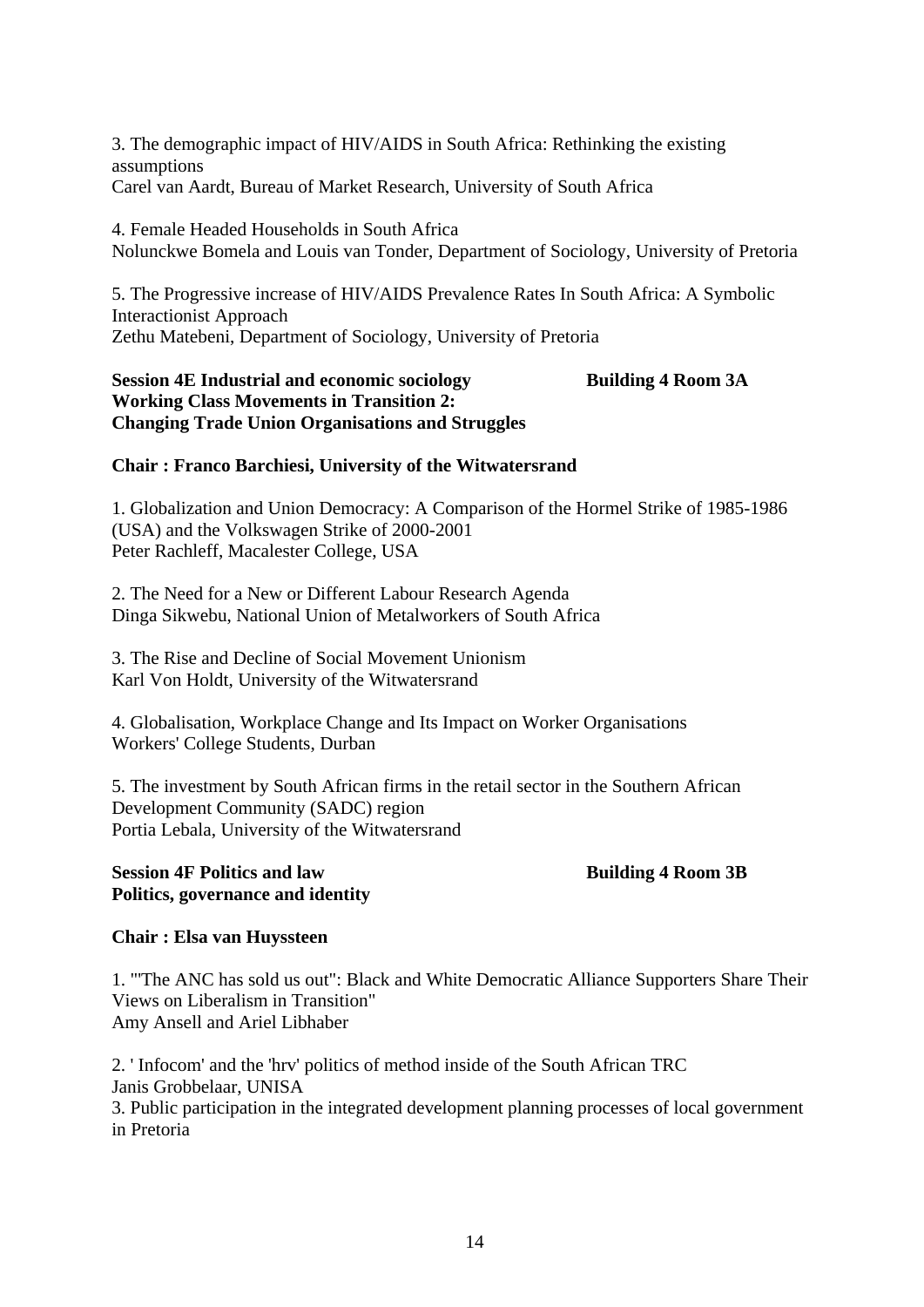3. The demographic impact of HIV/AIDS in South Africa: Rethinking the existing assumptions Carel van Aardt, Bureau of Market Research, University of South Africa

4. Female Headed Households in South Africa Nolunckwe Bomela and Louis van Tonder, Department of Sociology, University of Pretoria

5. The Progressive increase of HIV/AIDS Prevalence Rates In South Africa: A Symbolic Interactionist Approach Zethu Matebeni, Department of Sociology, University of Pretoria

# **Session 4E Industrial and economic sociology Building 4 Room 3A Working Class Movements in Transition 2: Changing Trade Union Organisations and Struggles**

# **Chair : Franco Barchiesi, University of the Witwatersrand**

1. Globalization and Union Democracy: A Comparison of the Hormel Strike of 1985-1986 (USA) and the Volkswagen Strike of 2000-2001 Peter Rachleff, Macalester College, USA

2. The Need for a New or Different Labour Research Agenda Dinga Sikwebu, National Union of Metalworkers of South Africa

3. The Rise and Decline of Social Movement Unionism Karl Von Holdt, University of the Witwatersrand

4. Globalisation, Workplace Change and Its Impact on Worker Organisations Workers' College Students, Durban

5. The investment by South African firms in the retail sector in the Southern African Development Community (SADC) region Portia Lebala, University of the Witwatersrand

#### **Session 4F Politics and law Building 4 Room 3B Politics, governance and identity**

# **Chair : Elsa van Huyssteen**

1. "'The ANC has sold us out": Black and White Democratic Alliance Supporters Share Their Views on Liberalism in Transition" Amy Ansell and Ariel Libhaber

2. ' Infocom' and the 'hrv' politics of method inside of the South African TRC Janis Grobbelaar, UNISA 3. Public participation in the integrated development planning processes of local government in Pretoria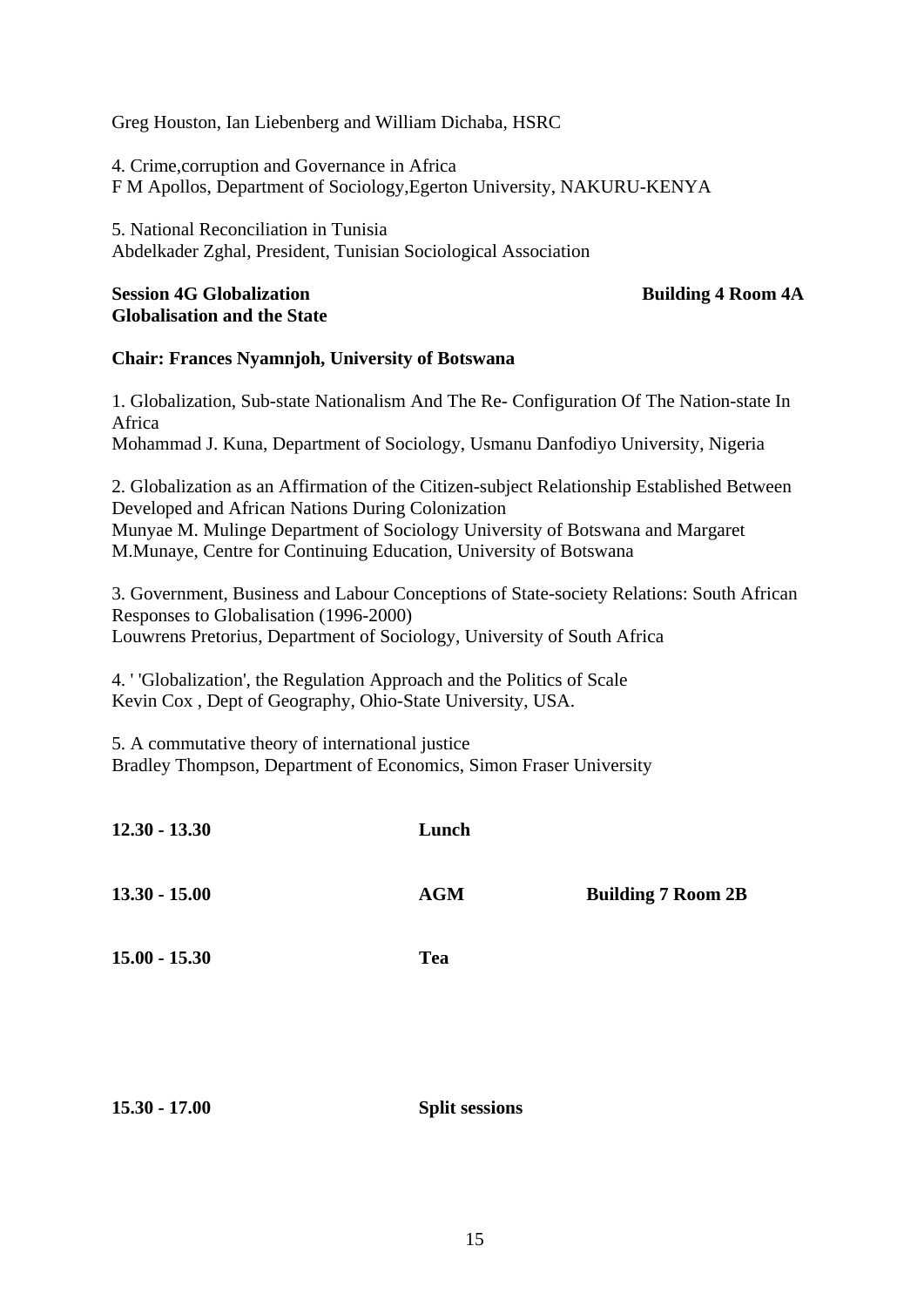# Greg Houston, Ian Liebenberg and William Dichaba, HSRC

4. Crime,corruption and Governance in Africa F M Apollos, Department of Sociology,Egerton University, NAKURU-KENYA

5. National Reconciliation in Tunisia Abdelkader Zghal, President, Tunisian Sociological Association

# **Session 4G Globalization Building 4 Room 4A Globalisation and the State**

# **Chair: Frances Nyamnjoh, University of Botswana**

1. Globalization, Sub-state Nationalism And The Re- Configuration Of The Nation-state In Africa Mohammad J. Kuna, Department of Sociology, Usmanu Danfodiyo University, Nigeria

2. Globalization as an Affirmation of the Citizen-subject Relationship Established Between Developed and African Nations During Colonization Munyae M. Mulinge Department of Sociology University of Botswana and Margaret M.Munaye, Centre for Continuing Education, University of Botswana

3. Government, Business and Labour Conceptions of State-society Relations: South African Responses to Globalisation (1996-2000) Louwrens Pretorius, Department of Sociology, University of South Africa

4. ' 'Globalization', the Regulation Approach and the Politics of Scale Kevin Cox , Dept of Geography, Ohio-State University, USA.

5. A commutative theory of international justice Bradley Thompson, Department of Economics, Simon Fraser University

| $12.30 - 13.30$ | Lunch      |                           |
|-----------------|------------|---------------------------|
| $13.30 - 15.00$ | <b>AGM</b> | <b>Building 7 Room 2B</b> |
| $15.00 - 15.30$ | <b>Tea</b> |                           |
|                 |            |                           |

**15.30 - 17.00 Split sessions**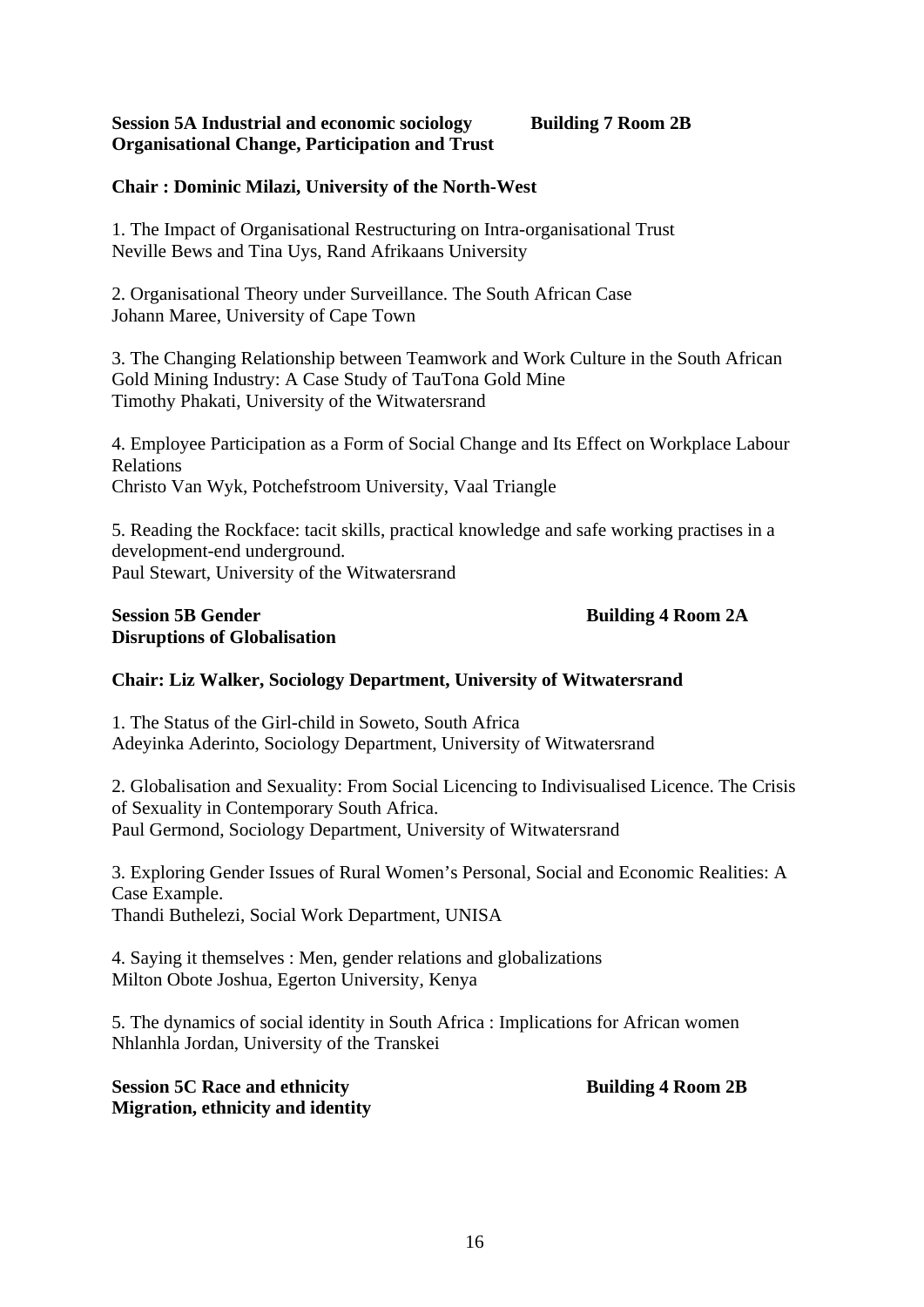# **Session 5A Industrial and economic sociology Building 7 Room 2B Organisational Change, Participation and Trust**

# **Chair : Dominic Milazi, University of the North-West**

1. The Impact of Organisational Restructuring on Intra-organisational Trust Neville Bews and Tina Uys, Rand Afrikaans University

2. Organisational Theory under Surveillance. The South African Case Johann Maree, University of Cape Town

3. The Changing Relationship between Teamwork and Work Culture in the South African Gold Mining Industry: A Case Study of TauTona Gold Mine Timothy Phakati, University of the Witwatersrand

4. Employee Participation as a Form of Social Change and Its Effect on Workplace Labour Relations Christo Van Wyk, Potchefstroom University, Vaal Triangle

5. Reading the Rockface: tacit skills, practical knowledge and safe working practises in a development-end underground. Paul Stewart, University of the Witwatersrand

# **Session 5B Gender Building 4 Room 2A Disruptions of Globalisation**

# **Chair: Liz Walker, Sociology Department, University of Witwatersrand**

1. The Status of the Girl-child in Soweto, South Africa Adeyinka Aderinto, Sociology Department, University of Witwatersrand

2. Globalisation and Sexuality: From Social Licencing to Indivisualised Licence. The Crisis of Sexuality in Contemporary South Africa. Paul Germond, Sociology Department, University of Witwatersrand

3. Exploring Gender Issues of Rural Women's Personal, Social and Economic Realities: A Case Example. Thandi Buthelezi, Social Work Department, UNISA

4. Saying it themselves : Men, gender relations and globalizations Milton Obote Joshua, Egerton University, Kenya

5. The dynamics of social identity in South Africa : Implications for African women Nhlanhla Jordan, University of the Transkei

**Session 5C Race and ethnicity Building 4 Room 2B Migration, ethnicity and identity**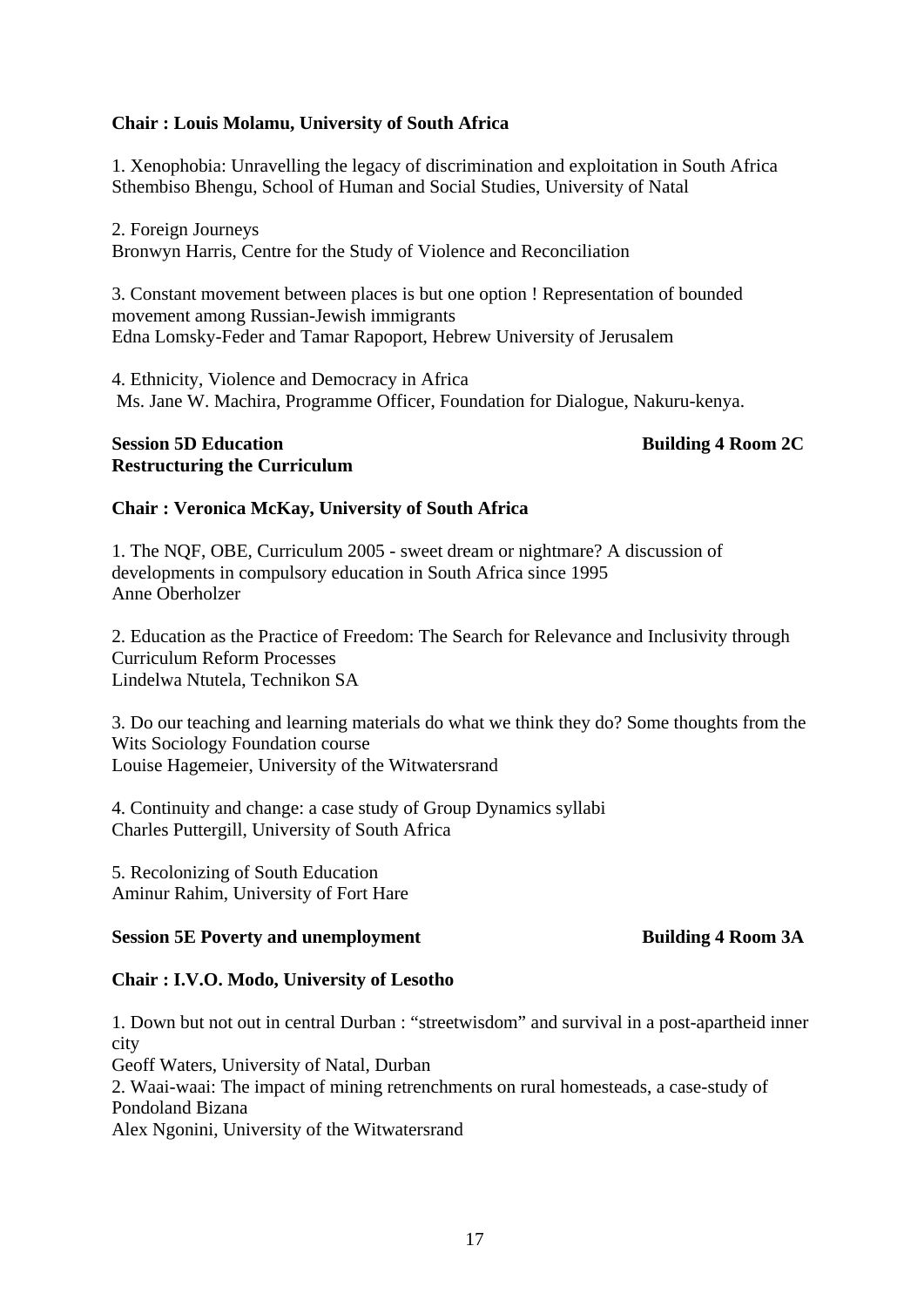# **Chair : Louis Molamu, University of South Africa**

1. Xenophobia: Unravelling the legacy of discrimination and exploitation in South Africa Sthembiso Bhengu, School of Human and Social Studies, University of Natal

2. Foreign Journeys Bronwyn Harris, Centre for the Study of Violence and Reconciliation

3. Constant movement between places is but one option ! Representation of bounded movement among Russian-Jewish immigrants Edna Lomsky-Feder and Tamar Rapoport, Hebrew University of Jerusalem

4. Ethnicity, Violence and Democracy in Africa Ms. Jane W. Machira, Programme Officer, Foundation for Dialogue, Nakuru-kenya.

#### **Session 5D Education** Building 4 Room 2C **Restructuring the Curriculum**

# **Chair : Veronica McKay, University of South Africa**

1. The NQF, OBE, Curriculum 2005 - sweet dream or nightmare? A discussion of developments in compulsory education in South Africa since 1995 Anne Oberholzer

2. Education as the Practice of Freedom: The Search for Relevance and Inclusivity through Curriculum Reform Processes Lindelwa Ntutela, Technikon SA

3. Do our teaching and learning materials do what we think they do? Some thoughts from the Wits Sociology Foundation course Louise Hagemeier, University of the Witwatersrand

4. Continuity and change: a case study of Group Dynamics syllabi Charles Puttergill, University of South Africa

5. Recolonizing of South Education Aminur Rahim, University of Fort Hare

# **Session 5E Poverty and unemployment Building 4 Room 3A**

#### **Chair : I.V.O. Modo, University of Lesotho**

1. Down but not out in central Durban : "streetwisdom" and survival in a post-apartheid inner city Geoff Waters, University of Natal, Durban 2. Waai-waai: The impact of mining retrenchments on rural homesteads, a case-study of Pondoland Bizana Alex Ngonini, University of the Witwatersrand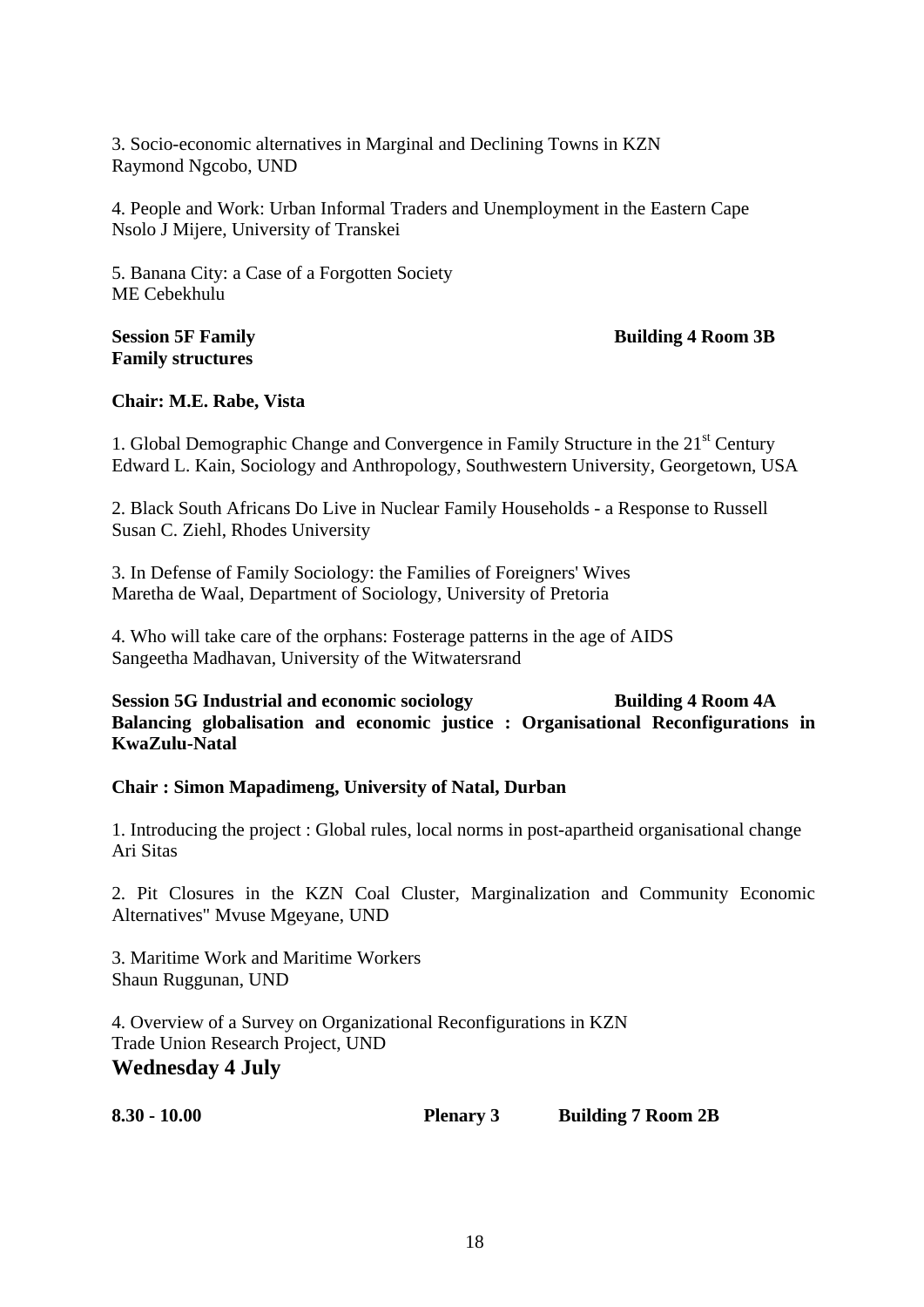3. Socio-economic alternatives in Marginal and Declining Towns in KZN Raymond Ngcobo, UND

4. People and Work: Urban Informal Traders and Unemployment in the Eastern Cape Nsolo J Mijere, University of Transkei

5. Banana City: a Case of a Forgotten Society ME Cebekhulu

# **Family structures**

# **Session 5F Family Session 5F Family Session 5F Family Session 3B Building 4 Room 3B**

# **Chair: M.E. Rabe, Vista**

1. Global Demographic Change and Convergence in Family Structure in the  $21<sup>st</sup>$  Century Edward L. Kain, Sociology and Anthropology, Southwestern University, Georgetown, USA

2. Black South Africans Do Live in Nuclear Family Households - a Response to Russell Susan C. Ziehl, Rhodes University

3. In Defense of Family Sociology: the Families of Foreigners' Wives Maretha de Waal, Department of Sociology, University of Pretoria

4. Who will take care of the orphans: Fosterage patterns in the age of AIDS Sangeetha Madhavan, University of the Witwatersrand

**Session 5G Industrial and economic sociology building 4 Room 4A Balancing globalisation and economic justice : Organisational Reconfigurations in KwaZulu-Natal** 

# **Chair : Simon Mapadimeng, University of Natal, Durban**

1. Introducing the project : Global rules, local norms in post-apartheid organisational change Ari Sitas

2. Pit Closures in the KZN Coal Cluster, Marginalization and Community Economic Alternatives" Mvuse Mgeyane, UND

3. Maritime Work and Maritime Workers Shaun Ruggunan, UND

4. Overview of a Survey on Organizational Reconfigurations in KZN Trade Union Research Project, UND **Wednesday 4 July** 

**8.30 - 10.00 Plenary 3 Building 7 Room 2B**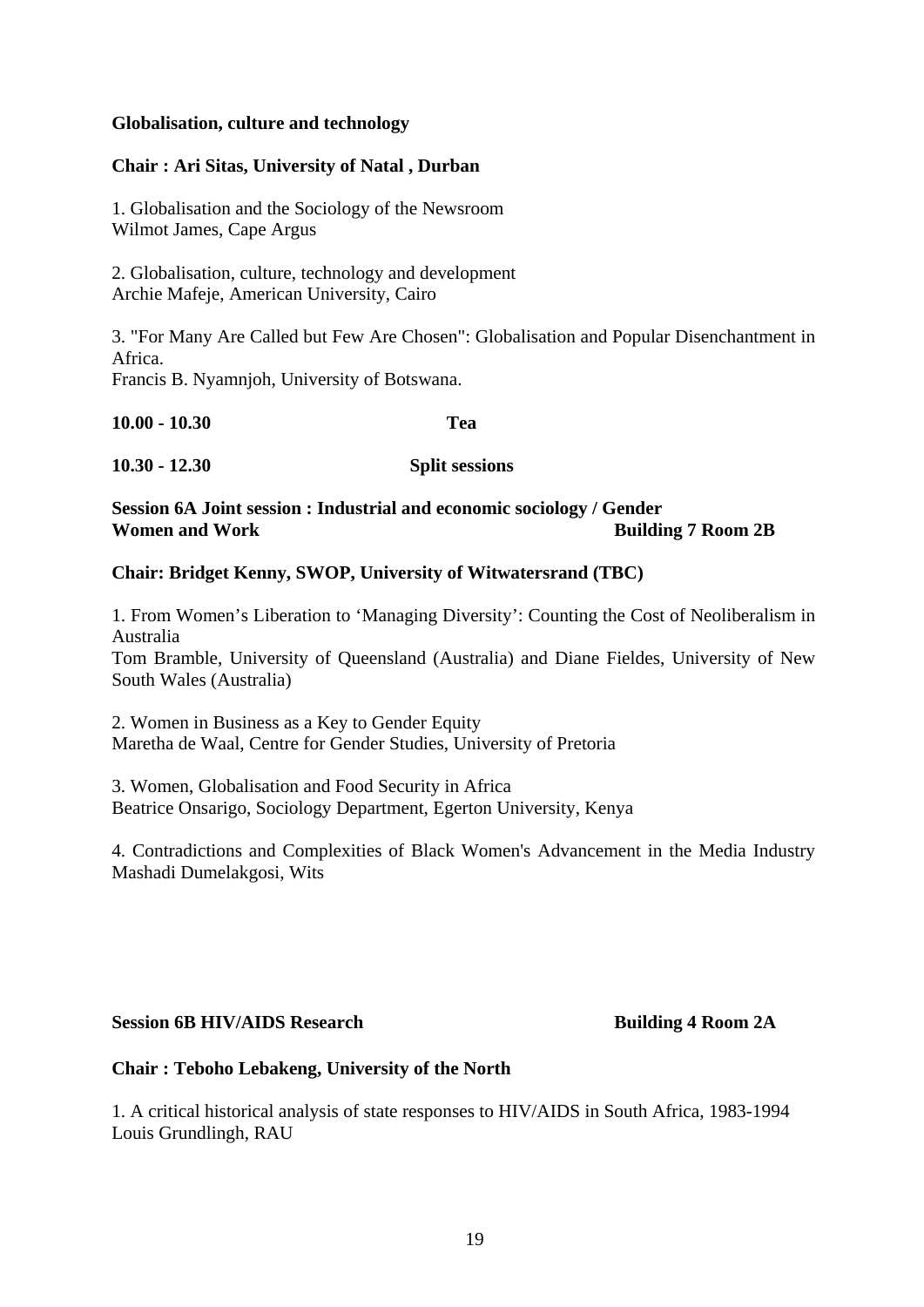# **Globalisation, culture and technology**

#### **Chair : Ari Sitas, University of Natal , Durban**

1. Globalisation and the Sociology of the Newsroom Wilmot James, Cape Argus

2. Globalisation, culture, technology and development Archie Mafeje, American University, Cairo

3. "For Many Are Called but Few Are Chosen": Globalisation and Popular Disenchantment in Africa.

Francis B. Nyamnjoh, University of Botswana.

| $10.00 - 10.30$ | Tea                   |  |  |
|-----------------|-----------------------|--|--|
| $10.30 - 12.30$ | <b>Split sessions</b> |  |  |

# **Session 6A Joint session : Industrial and economic sociology / Gender Women and Work Building 7 Room 2B**

# **Chair: Bridget Kenny, SWOP, University of Witwatersrand (TBC)**

1. From Women's Liberation to 'Managing Diversity': Counting the Cost of Neoliberalism in Australia

Tom Bramble, University of Queensland (Australia) and Diane Fieldes, University of New South Wales (Australia)

2. Women in Business as a Key to Gender Equity Maretha de Waal, Centre for Gender Studies, University of Pretoria

3. Women, Globalisation and Food Security in Africa Beatrice Onsarigo, Sociology Department, Egerton University, Kenya

4. Contradictions and Complexities of Black Women's Advancement in the Media Industry Mashadi Dumelakgosi, Wits

#### **Session 6B HIV/AIDS Research Building 4 Room 2A**

# **Chair : Teboho Lebakeng, University of the North**

1. A critical historical analysis of state responses to HIV/AIDS in South Africa, 1983-1994 Louis Grundlingh, RAU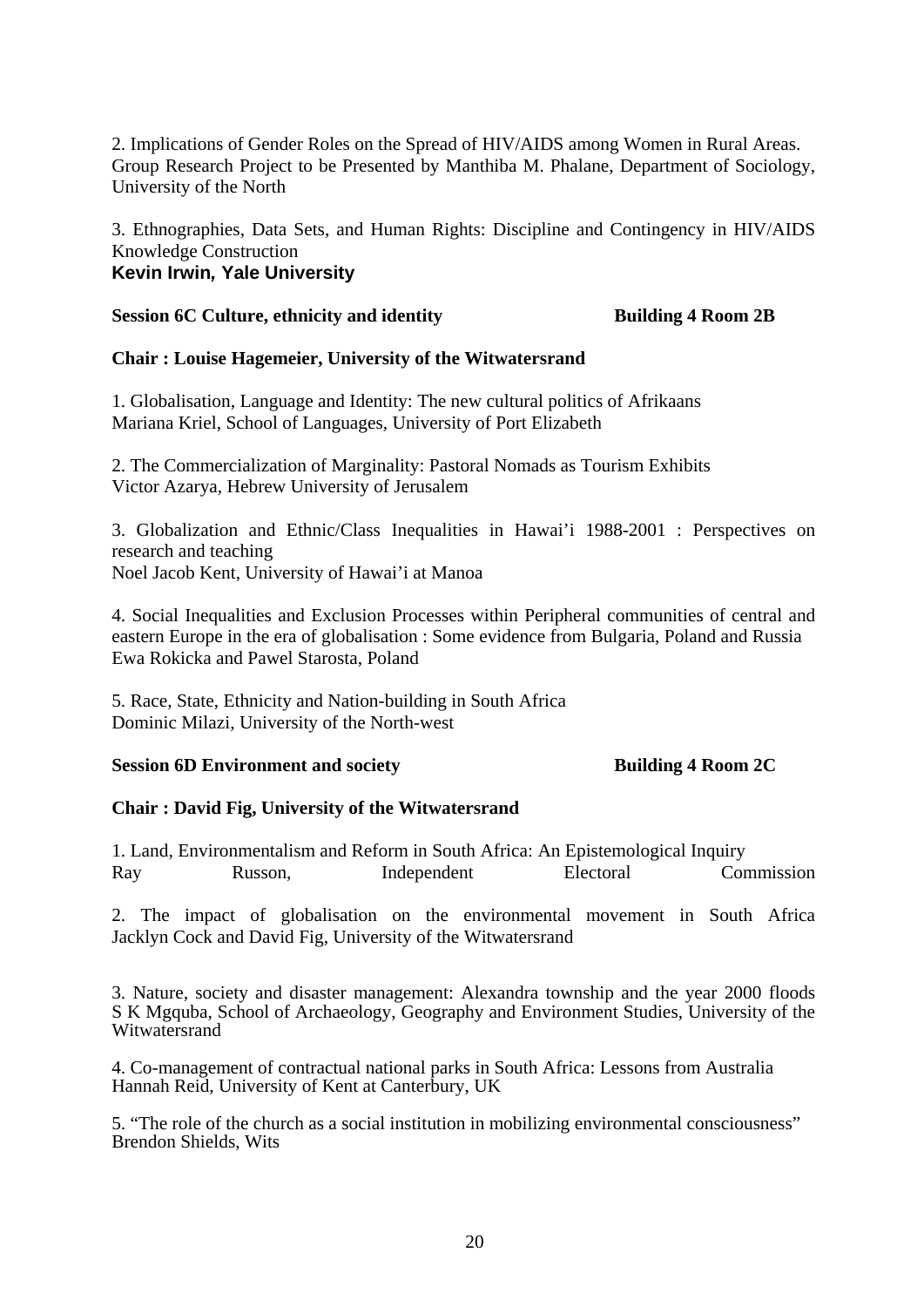2. Implications of Gender Roles on the Spread of HIV/AIDS among Women in Rural Areas. Group Research Project to be Presented by Manthiba M. Phalane, Department of Sociology, University of the North

3. Ethnographies, Data Sets, and Human Rights: Discipline and Contingency in HIV/AIDS Knowledge Construction **Kevin Irwin***,* **Yale University**

#### **Session 6C Culture, ethnicity and identity building 4 Room 2B**

# **Chair : Louise Hagemeier, University of the Witwatersrand**

1. Globalisation, Language and Identity: The new cultural politics of Afrikaans Mariana Kriel, School of Languages, University of Port Elizabeth

2. The Commercialization of Marginality: Pastoral Nomads as Tourism Exhibits Victor Azarya, Hebrew University of Jerusalem

3. Globalization and Ethnic/Class Inequalities in Hawai'i 1988-2001 : Perspectives on research and teaching Noel Jacob Kent, University of Hawai'i at Manoa

4. Social Inequalities and Exclusion Processes within Peripheral communities of central and eastern Europe in the era of globalisation : Some evidence from Bulgaria, Poland and Russia Ewa Rokicka and Pawel Starosta, Poland

5. Race, State, Ethnicity and Nation-building in South Africa Dominic Milazi, University of the North-west

# **Session 6D Environment and society Building 4 Room 2C**

# **Chair : David Fig, University of the Witwatersrand**

1. Land, Environmentalism and Reform in South Africa: An Epistemological Inquiry Ray Russon, Independent Electoral Commission

2. The impact of globalisation on the environmental movement in South Africa Jacklyn Cock and David Fig, University of the Witwatersrand

3. Nature, society and disaster management: Alexandra township and the year 2000 floods S K Mgquba, School of Archaeology, Geography and Environment Studies, University of the Witwatersrand

4. Co-management of contractual national parks in South Africa: Lessons from Australia Hannah Reid, University of Kent at Canterbury, UK

5. "The role of the church as a social institution in mobilizing environmental consciousness" Brendon Shields, Wits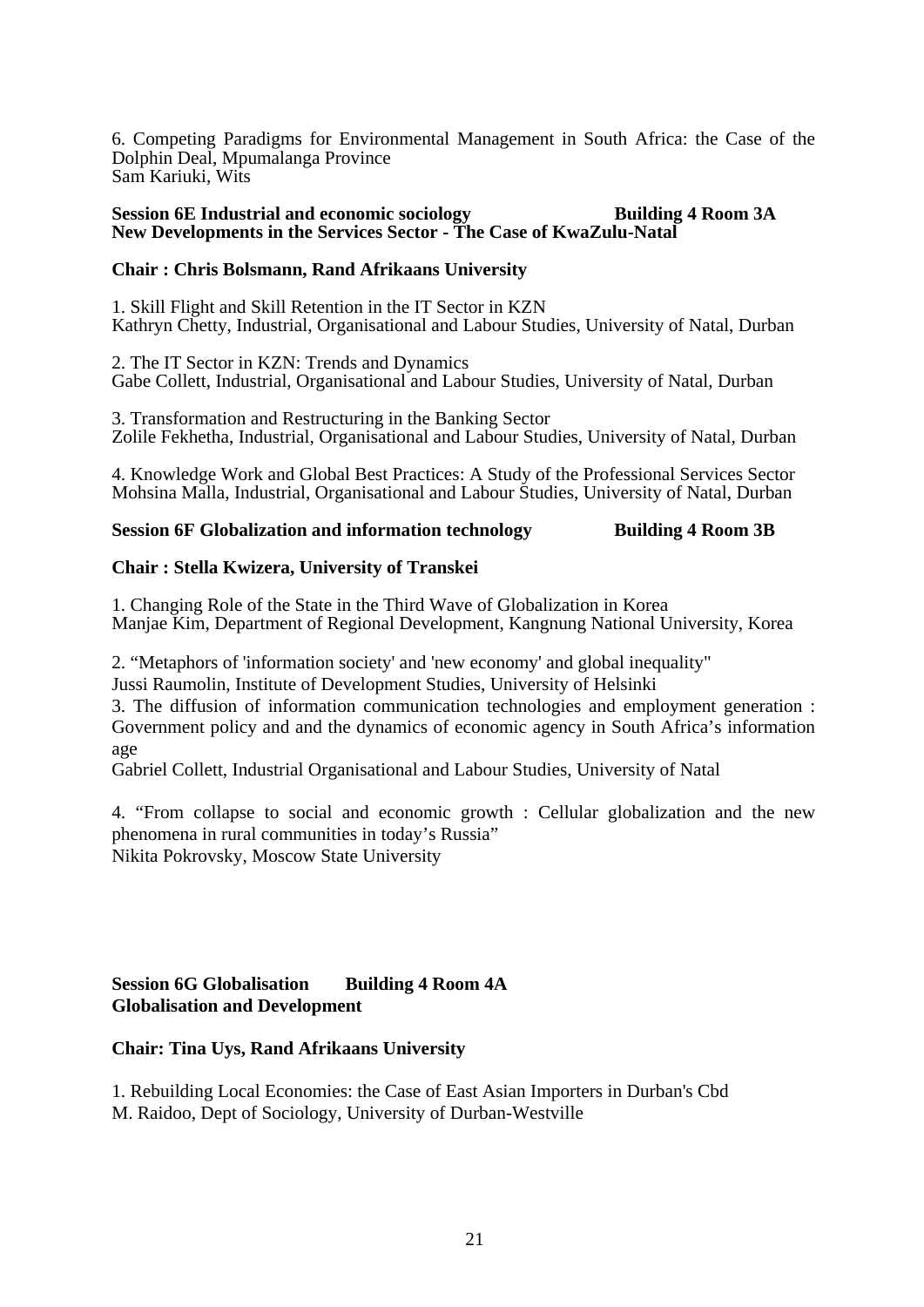6. Competing Paradigms for Environmental Management in South Africa: the Case of the Dolphin Deal, Mpumalanga Province Sam Kariuki, Wits

### **Session 6E Industrial and economic sociology building 4 Room 3A New Developments in the Services Sector - The Case of KwaZulu-Natal**

### **Chair : Chris Bolsmann, Rand Afrikaans University**

1. Skill Flight and Skill Retention in the IT Sector in KZN Kathryn Chetty, Industrial, Organisational and Labour Studies, University of Natal, Durban

2. The IT Sector in KZN: Trends and Dynamics Gabe Collett, Industrial, Organisational and Labour Studies, University of Natal, Durban

3. Transformation and Restructuring in the Banking Sector Zolile Fekhetha, Industrial, Organisational and Labour Studies, University of Natal, Durban

4. Knowledge Work and Global Best Practices: A Study of the Professional Services Sector Mohsina Malla, Industrial, Organisational and Labour Studies, University of Natal, Durban

#### **Session 6F** Globalization and information technology Building 4 Room 3B

#### **Chair : Stella Kwizera, University of Transkei**

1. Changing Role of the State in the Third Wave of Globalization in Korea Manjae Kim, Department of Regional Development, Kangnung National University, Korea

2. "Metaphors of 'information society' and 'new economy' and global inequality"

Jussi Raumolin, Institute of Development Studies, University of Helsinki

3. The diffusion of information communication technologies and employment generation : Government policy and and the dynamics of economic agency in South Africa's information age

Gabriel Collett, Industrial Organisational and Labour Studies, University of Natal

4. "From collapse to social and economic growth : Cellular globalization and the new phenomena in rural communities in today's Russia" Nikita Pokrovsky, Moscow State University

# **Session 6G Globalisation Building 4 Room 4A Globalisation and Development**

# **Chair: Tina Uys, Rand Afrikaans University**

1. Rebuilding Local Economies: the Case of East Asian Importers in Durban's Cbd M. Raidoo, Dept of Sociology, University of Durban-Westville